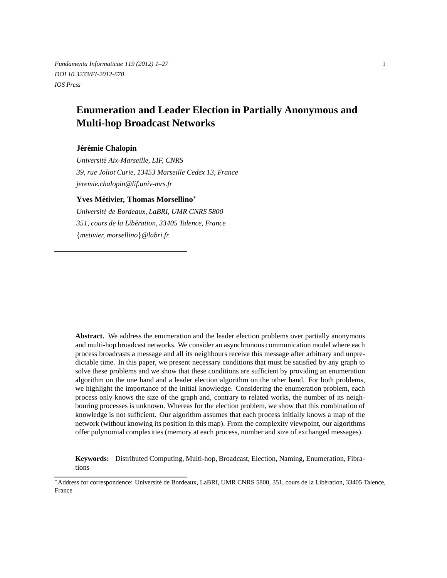*Fundamenta Informaticae 119 (2012) 1–27* 1 *DOI 10.3233/FI-2012-670 IOS Press*

# **Enumeration and Leader Election in Partially Anonymous and Multi-hop Broadcast Networks**

## **Jer´ emie Chalopin ´**

*Universite Aix-Marseille, LIF, CNRS ´ 39, rue Joliot Curie, 13453 Marseille Cedex 13, France jeremie.chalopin@lif.univ-mrs.fr*

## **Yves Metivier, Thomas Morsellino ´** ∗

*Universite de Bordeaux, LaBRI, UMR CNRS 5800 ´ 351, cours de la Liberation, 33405 Talence, France ´* {*metivier, morsellino*}*@labri.fr*

**Abstract.** We address the enumeration and the leader election problems over partially anonymous and multi-hop broadcast networks. We consider an asynchronous communication model where each process broadcasts a message and all its neighbours receive this message after arbitrary and unpredictable time. In this paper, we present necessary conditions that must be satisfied by any graph to solve these problems and we show that these conditions are sufficient by providing an enumeration algorithm on the one hand and a leader election algorithm on the other hand. For both problems, we highlight the importance of the initial knowledge. Considering the enumeration problem, each process only knows the size of the graph and, contrary to related works, the number of its neighbouring processes is unknown. Whereas for the election problem, we show that this combination of knowledge is not sufficient. Our algorithm assumes that each process initially knows a map of the network (without knowing its position in this map). From the complexity viewpoint, our algorithms offer polynomial complexities (memory at each process, number and size of exchanged messages).

**Keywords:** Distributed Computing, Multi-hop, Broadcast, Election, Naming, Enumeration, Fibrations

<sup>\*</sup>Address for correspondence: Université de Bordeaux, LaBRI, UMR CNRS 5800, 351, cours de la Libération, 33405 Talence, France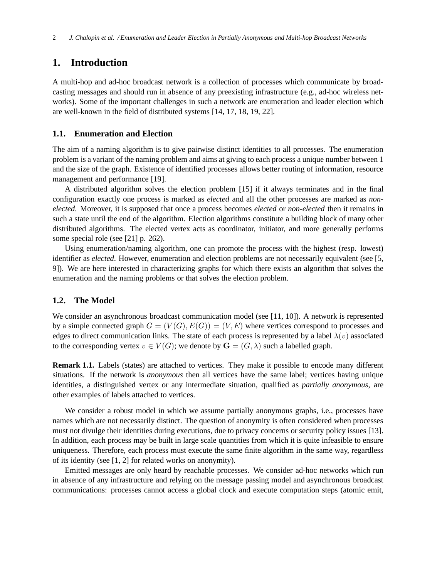## **1. Introduction**

A multi-hop and ad-hoc broadcast network is a collection of processes which communicate by broadcasting messages and should run in absence of any preexisting infrastructure (e.g., ad-hoc wireless networks). Some of the important challenges in such a network are enumeration and leader election which are well-known in the field of distributed systems [14, 17, 18, 19, 22].

## **1.1. Enumeration and Election**

The aim of a naming algorithm is to give pairwise distinct identities to all processes. The enumeration problem is a variant of the naming problem and aims at giving to each process a unique number between 1 and the size of the graph. Existence of identified processes allows better routing of information, resource management and performance [19].

A distributed algorithm solves the election problem [15] if it always terminates and in the final configuration exactly one process is marked as *elected* and all the other processes are marked as *nonelected*. Moreover, it is supposed that once a process becomes *elected* or *non-elected* then it remains in such a state until the end of the algorithm. Election algorithms constitute a building block of many other distributed algorithms. The elected vertex acts as coordinator, initiator, and more generally performs some special role (see [21] p. 262).

Using enumeration/naming algorithm, one can promote the process with the highest (resp. lowest) identifier as *elected*. However, enumeration and election problems are not necessarily equivalent (see [5, 9]). We are here interested in characterizing graphs for which there exists an algorithm that solves the enumeration and the naming problems or that solves the election problem.

## **1.2. The Model**

We consider an asynchronous broadcast communication model (see [11, 10]). A network is represented by a simple connected graph  $G = (V(G), E(G)) = (V, E)$  where vertices correspond to processes and edges to direct communication links. The state of each process is represented by a label  $\lambda(v)$  associated to the corresponding vertex  $v \in V(G)$ ; we denote by  $\mathbf{G} = (G, \lambda)$  such a labelled graph.

**Remark 1.1.** Labels (states) are attached to vertices. They make it possible to encode many different situations. If the network is *anonymous* then all vertices have the same label; vertices having unique identities, a distinguished vertex or any intermediate situation, qualified as *partially anonymous*, are other examples of labels attached to vertices.

We consider a robust model in which we assume partially anonymous graphs, i.e., processes have names which are not necessarily distinct. The question of anonymity is often considered when processes must not divulge their identities during executions, due to privacy concerns or security policy issues [13]. In addition, each process may be built in large scale quantities from which it is quite infeasible to ensure uniqueness. Therefore, each process must execute the same finite algorithm in the same way, regardless of its identity (see [1, 2] for related works on anonymity).

Emitted messages are only heard by reachable processes. We consider ad-hoc networks which run in absence of any infrastructure and relying on the message passing model and asynchronous broadcast communications: processes cannot access a global clock and execute computation steps (atomic emit,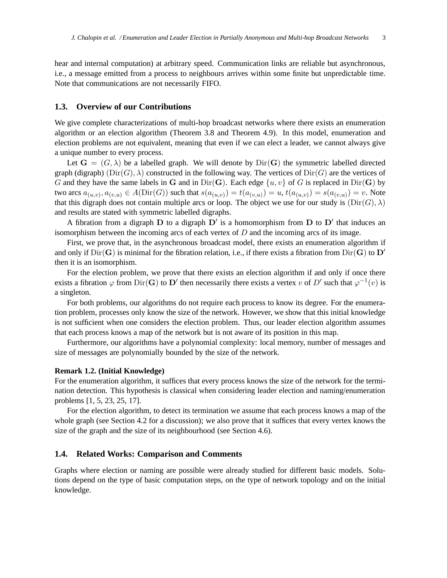hear and internal computation) at arbitrary speed. Communication links are reliable but asynchronous, i.e., a message emitted from a process to neighbours arrives within some finite but unpredictable time. Note that communications are not necessarily FIFO.

## **1.3. Overview of our Contributions**

We give complete characterizations of multi-hop broadcast networks where there exists an enumeration algorithm or an election algorithm (Theorem 3.8 and Theorem 4.9). In this model, enumeration and election problems are not equivalent, meaning that even if we can elect a leader, we cannot always give a unique number to every process.

Let  $G = (G, \lambda)$  be a labelled graph. We will denote by  $Dir(G)$  the symmetric labelled directed graph (digraph)  $(\text{Dir}(G), \lambda)$  constructed in the following way. The vertices of  $\text{Dir}(G)$  are the vertices of G and they have the same labels in G and in Dir(G). Each edge  $\{u, v\}$  of G is replaced in Dir(G) by two arcs  $a_{(u,v)}, a_{(v,u)} \in A(\text{Dir}(G))$  such that  $s(a_{(u,v)}) = t(a_{(v,u)}) = u, t(a_{(u,v)}) = s(a_{(v,u)}) = v$ . Note that this digraph does not contain multiple arcs or loop. The object we use for our study is  $(\text{Dir}(G), \lambda)$ and results are stated with symmetric labelled digraphs.

A fibration from a digraph  $D$  to a digraph  $D'$  is a homomorphism from  $D$  to  $D'$  that induces an isomorphism between the incoming arcs of each vertex of  $D$  and the incoming arcs of its image.

First, we prove that, in the asynchronous broadcast model, there exists an enumeration algorithm if and only if  $Dir(G)$  is minimal for the fibration relation, i.e., if there exists a fibration from  $Dir(G)$  to  $D'$ then it is an isomorphism.

For the election problem, we prove that there exists an election algorithm if and only if once there exists a fibration  $\varphi$  from Dir(G) to D' then necessarily there exists a vertex v of D' such that  $\varphi^{-1}(v)$  is a singleton.

For both problems, our algorithms do not require each process to know its degree. For the enumeration problem, processes only know the size of the network. However, we show that this initial knowledge is not sufficient when one considers the election problem. Thus, our leader election algorithm assumes that each process knows a map of the network but is not aware of its position in this map.

Furthermore, our algorithms have a polynomial complexity: local memory, number of messages and size of messages are polynomially bounded by the size of the network.

#### **Remark 1.2. (Initial Knowledge)**

For the enumeration algorithm, it suffices that every process knows the size of the network for the termination detection. This hypothesis is classical when considering leader election and naming/enumeration problems [1, 5, 23, 25, 17].

For the election algorithm, to detect its termination we assume that each process knows a map of the whole graph (see Section 4.2 for a discussion); we also prove that it suffices that every vertex knows the size of the graph and the size of its neighbourhood (see Section 4.6).

## **1.4. Related Works: Comparison and Comments**

Graphs where election or naming are possible were already studied for different basic models. Solutions depend on the type of basic computation steps, on the type of network topology and on the initial knowledge.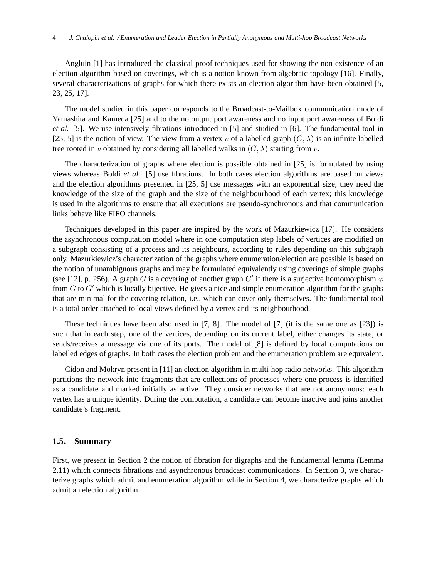Angluin [1] has introduced the classical proof techniques used for showing the non-existence of an election algorithm based on coverings, which is a notion known from algebraic topology [16]. Finally, several characterizations of graphs for which there exists an election algorithm have been obtained [5, 23, 25, 17].

The model studied in this paper corresponds to the Broadcast-to-Mailbox communication mode of Yamashita and Kameda [25] and to the no output port awareness and no input port awareness of Boldi *et al.* [5]. We use intensively fibrations introduced in [5] and studied in [6]. The fundamental tool in [25, 5] is the notion of view. The view from a vertex v of a labelled graph  $(G, \lambda)$  is an infinite labelled tree rooted in v obtained by considering all labelled walks in  $(G, \lambda)$  starting from v.

The characterization of graphs where election is possible obtained in [25] is formulated by using views whereas Boldi *et al.* [5] use fibrations. In both cases election algorithms are based on views and the election algorithms presented in [25, 5] use messages with an exponential size, they need the knowledge of the size of the graph and the size of the neighbourhood of each vertex; this knowledge is used in the algorithms to ensure that all executions are pseudo-synchronous and that communication links behave like FIFO channels.

Techniques developed in this paper are inspired by the work of Mazurkiewicz [17]. He considers the asynchronous computation model where in one computation step labels of vertices are modified on a subgraph consisting of a process and its neighbours, according to rules depending on this subgraph only. Mazurkiewicz's characterization of the graphs where enumeration/election are possible is based on the notion of unambiguous graphs and may be formulated equivalently using coverings of simple graphs (see [12], p. 256). A graph G is a covering of another graph G' if there is a surjective homomorphism  $\varphi$ from  $G$  to  $G'$  which is locally bijective. He gives a nice and simple enumeration algorithm for the graphs that are minimal for the covering relation, i.e., which can cover only themselves. The fundamental tool is a total order attached to local views defined by a vertex and its neighbourhood.

These techniques have been also used in [7, 8]. The model of [7] (it is the same one as [23]) is such that in each step, one of the vertices, depending on its current label, either changes its state, or sends/receives a message via one of its ports. The model of [8] is defined by local computations on labelled edges of graphs. In both cases the election problem and the enumeration problem are equivalent.

Cidon and Mokryn present in [11] an election algorithm in multi-hop radio networks. This algorithm partitions the network into fragments that are collections of processes where one process is identified as a candidate and marked initially as active. They consider networks that are not anonymous: each vertex has a unique identity. During the computation, a candidate can become inactive and joins another candidate's fragment.

## **1.5. Summary**

First, we present in Section 2 the notion of fibration for digraphs and the fundamental lemma (Lemma 2.11) which connects fibrations and asynchronous broadcast communications. In Section 3, we characterize graphs which admit and enumeration algorithm while in Section 4, we characterize graphs which admit an election algorithm.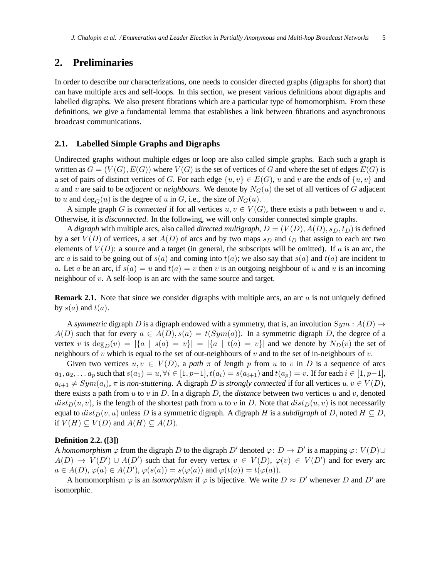## **2. Preliminaries**

In order to describe our characterizations, one needs to consider directed graphs (digraphs for short) that can have multiple arcs and self-loops. In this section, we present various definitions about digraphs and labelled digraphs. We also present fibrations which are a particular type of homomorphism. From these definitions, we give a fundamental lemma that establishes a link between fibrations and asynchronous broadcast communications.

## **2.1. Labelled Simple Graphs and Digraphs**

Undirected graphs without multiple edges or loop are also called simple graphs. Each such a graph is written as  $G = (V(G), E(G))$  where  $V(G)$  is the set of vertices of G and where the set of edges  $E(G)$  is a set of pairs of distinct vertices of G. For each edge  $\{u, v\} \in E(G)$ , u and v are the *ends* of  $\{u, v\}$  and u and v are said to be *adjacent* or *neighbours*. We denote by  $N_G(u)$  the set of all vertices of G adjacent to u and  $deg_G(u)$  is the degree of u in G, i.e., the size of  $N_G(u)$ .

A simple graph G is *connected* if for all vertices  $u, v \in V(G)$ , there exists a path between u and v. Otherwise, it is *disconnected*. In the following, we will only consider connected simple graphs.

A *digraph* with multiple arcs, also called *directed multigraph*,  $D = (V(D), A(D), s_D, t_D)$  is defined by a set  $V(D)$  of vertices, a set  $A(D)$  of arcs and by two maps  $s_D$  and  $t_D$  that assign to each arc two elements of  $V(D)$ : a source and a target (in general, the subscripts will be omitted). If a is an arc, the arc a is said to be going out of  $s(a)$  and coming into  $t(a)$ ; we also say that  $s(a)$  and  $t(a)$  are incident to a. Let a be an arc, if  $s(a) = u$  and  $t(a) = v$  then v is an outgoing neighbour of u and u is an incoming neighbour of v. A self-loop is an arc with the same source and target.

**Remark 2.1.** Note that since we consider digraphs with multiple arcs, an arc a is not uniquely defined by  $s(a)$  and  $t(a)$ .

A *symmetric* digraph D is a digraph endowed with a symmetry, that is, an involution  $Sym : A(D) \rightarrow$  $A(D)$  such that for every  $a \in A(D)$ ,  $s(a) = t(Sym(a))$ . In a symmetric digraph D, the degree of a vertex v is  $\deg_D(v) = |\{a \mid s(a) = v\}| = |\{a \mid t(a) = v\}|$  and we denote by  $N_D(v)$  the set of neighbours of v which is equal to the set of out-neighbours of v and to the set of in-neighbours of v.

Given two vertices  $u, v \in V(D)$ , a path  $\pi$  of length p from u to v in D is a sequence of arcs  $a_1, a_2, \ldots a_p$  such that  $s(a_1) = u, \forall i \in [1, p-1], t(a_i) = s(a_{i+1})$  and  $t(a_p) = v$ . If for each  $i \in [1, p-1],$  $a_{i+1} \neq Sym(a_i)$ ,  $\pi$  is *non-stuttering*. A digraph D is *strongly connected* if for all vertices  $u, v \in V(D)$ , there exists a path from  $u$  to  $v$  in  $D$ . In a digraph  $D$ , the *distance* between two vertices  $u$  and  $v$ , denoted  $dist_D(u, v)$ , is the length of the shortest path from u to v in D. Note that  $dist_D(u, v)$  is not necessarily equal to  $dist_D(v, u)$  unless D is a symmetric digraph. A digraph H is a *subdigraph* of D, noted  $H \subseteq D$ , if  $V(H) \subseteq V(D)$  and  $A(H) \subseteq A(D)$ .

#### **Definition 2.2. ([3])**

A *homomorphism*  $\varphi$  from the digraph D to the digraph D' denoted  $\varphi: D \to D'$  is a mapping  $\varphi: V(D) \cup$  $A(D) \rightarrow V(D') \cup A(D')$  such that for every vertex  $v \in V(D)$ ,  $\varphi(v) \in V(D')$  and for every arc  $a \in A(D), \varphi(a) \in A(D'), \varphi(s(a)) = s(\varphi(a))$  and  $\varphi(t(a)) = t(\varphi(a)).$ 

A homomorphism  $\varphi$  is an *isomorphism* if  $\varphi$  is bijective. We write  $D \approx D'$  whenever D and D' are isomorphic.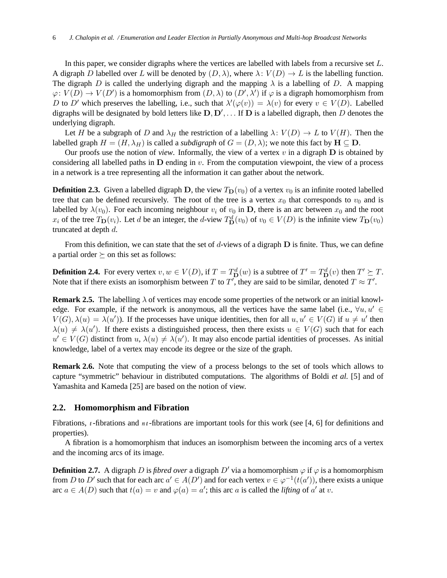In this paper, we consider digraphs where the vertices are labelled with labels from a recursive set L. A digraph D labelled over L will be denoted by  $(D, \lambda)$ , where  $\lambda: V(D) \to L$  is the labelling function. The digraph D is called the underlying digraph and the mapping  $\lambda$  is a labelling of D. A mapping  $\varphi: V(D) \to V(D')$  is a homomorphism from  $(D, \lambda)$  to  $(D', \lambda')$  if  $\varphi$  is a digraph homomorphism from D to D' which preserves the labelling, i.e., such that  $\lambda'(\varphi(v)) = \lambda(v)$  for every  $v \in V(D)$ . Labelled digraphs will be designated by bold letters like  $\mathbf{D}, \mathbf{D}'$ , ... If  $\mathbf{D}$  is a labelled digraph, then  $D$  denotes the underlying digraph.

Let H be a subgraph of D and  $\lambda_H$  the restriction of a labelling  $\lambda: V(D) \to L$  to  $V(H)$ . Then the labelled graph  $H = (H, \lambda_H)$  is called a *subdigraph* of  $G = (D, \lambda)$ ; we note this fact by  $H \subseteq D$ .

Our proofs use the notion of *view*. Informally, the view of a vertex  $v$  in a digraph  $D$  is obtained by considering all labelled paths in  **ending in**  $v$ **. From the computation viewpoint, the view of a process** in a network is a tree representing all the information it can gather about the network.

**Definition 2.3.** Given a labelled digraph D, the view  $T_D(v_0)$  of a vertex  $v_0$  is an infinite rooted labelled tree that can be defined recursively. The root of the tree is a vertex  $x_0$  that corresponds to  $v_0$  and is labelled by  $\lambda(v_0)$ . For each incoming neighbour  $v_i$  of  $v_0$  in D, there is an arc between  $x_0$  and the root  $x_i$  of the tree  $T_D(v_i)$ . Let d be an integer, the d-view  $T_D^d(v_0)$  of  $v_0 \in V(D)$  is the infinite view  $T_D(v_0)$ truncated at depth d.

From this definition, we can state that the set of d-views of a digraph  $D$  is finite. Thus, we can define a partial order  $\succeq$  on this set as follows:

**Definition 2.4.** For every vertex  $v, w \in V(D)$ , if  $T = T_{\mathbf{D}}^d(w)$  is a subtree of  $T' = T_{\mathbf{D}}^d(v)$  then  $T' \succeq T$ . Note that if there exists an isomorphism between T to T', they are said to be similar, denoted  $T \approx T'$ .

**Remark 2.5.** The labelling  $\lambda$  of vertices may encode some properties of the network or an initial knowledge. For example, if the network is anonymous, all the vertices have the same label (i.e.,  $\forall u, u' \in$  $V(G), \lambda(u) = \lambda(u')$ ). If the processes have unique identities, then for all  $u, u' \in V(G)$  if  $u \neq u'$  then  $\lambda(u) \neq \lambda(u')$ . If there exists a distinguished process, then there exists  $u \in V(G)$  such that for each  $u' \in V(G)$  distinct from  $u, \lambda(u) \neq \lambda(u')$ . It may also encode partial identities of processes. As initial knowledge, label of a vertex may encode its degree or the size of the graph.

**Remark 2.6.** Note that computing the view of a process belongs to the set of tools which allows to capture "symmetric" behaviour in distributed computations. The algorithms of Boldi *et al.* [5] and of Yamashita and Kameda [25] are based on the notion of view.

#### **2.2. Homomorphism and Fibration**

Fibrations, *t* -fibrations and *nt* -fibrations are important tools for this work (see [4, 6] for definitions and properties).

A fibration is a homomorphism that induces an isomorphism between the incoming arcs of a vertex and the incoming arcs of its image.

**Definition 2.7.** A digraph D is *fibred over* a digraph  $D'$  via a homomorphism  $\varphi$  if  $\varphi$  is a homomorphism from D to D' such that for each arc  $a' \in A(D')$  and for each vertex  $v \in \varphi^{-1}(t(a'))$ , there exists a unique arc  $a \in A(D)$  such that  $t(a) = v$  and  $\varphi(a) = a'$ ; this arc a is called the *lifting* of a' at v.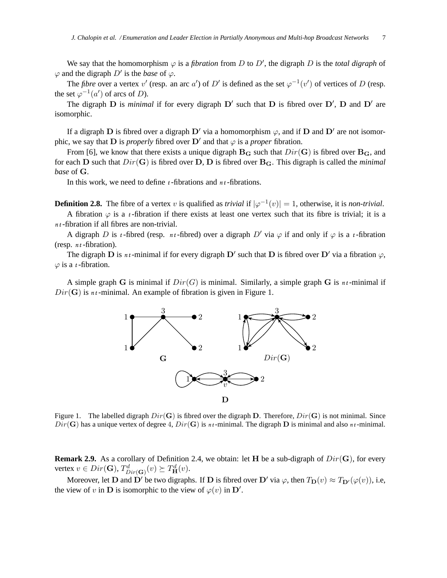We say that the homomorphism  $\varphi$  is a *fibration* from D to D', the digraph D is the *total digraph* of  $\varphi$  and the digraph  $D'$  is the *base* of  $\varphi$ .

The *fibre* over a vertex v' (resp. an arc a') of D' is defined as the set  $\varphi^{-1}(v')$  of vertices of D (resp. the set  $\varphi^{-1}(a')$  of arcs of D).

The digraph  $D$  is *minimal* if for every digraph  $D'$  such that  $D$  is fibred over  $D'$ ,  $D$  and  $D'$  are isomorphic.

If a digraph D is fibred over a digraph D' via a homomorphism  $\varphi$ , and if D and D' are not isomorphic, we say that  $\bf{D}$  is *properly* fibred over  $\bf{D}'$  and that  $\varphi$  is a *proper* fibration.

From [6], we know that there exists a unique digraph  $B_G$  such that  $Dir(G)$  is fibred over  $B_G$ , and for each **D** such that  $Dir(G)$  is fibred over **D**, **D** is fibred over **B**<sub>G</sub>. This digraph is called the *minimal base* of G.

In this work, we need to define *t* -fibrations and *nt* -fibrations.

**Definition 2.8.** The fibre of a vertex v is qualified as *trivial* if  $|\varphi^{-1}(v)| = 1$ , otherwise, it is *non-trivial*.

A fibration  $\varphi$  is a *t*-fibration if there exists at least one vertex such that its fibre is trivial; it is a *nt* -fibration if all fibres are non-trivial.

A digraph D is *t*-fibred (resp. *nt*-fibred) over a digraph D' via  $\varphi$  if and only if  $\varphi$  is a *t*-fibration (resp. *nt* -fibration).

The digraph D is  $n_t$ -minimal if for every digraph D' such that D is fibred over D' via a fibration  $\varphi$ ,  $\varphi$  is a *t*-fibration.

A simple graph G is minimal if  $Dir(G)$  is minimal. Similarly, a simple graph G is  $n_t$ -minimal if  $Dir(G)$  is *nt*-minimal. An example of fibration is given in Figure 1.



Figure 1. The labelled digraph  $Dir(G)$  is fibred over the digraph D. Therefore,  $Dir(G)$  is not minimal. Since  $Dir(G)$  has a unique vertex of degree 4,  $Dir(G)$  is  $n_t$ -minimal. The digraph **D** is minimal and also  $n_t$ -minimal.

**Remark 2.9.** As a corollary of Definition 2.4, we obtain: let H be a sub-digraph of  $Dir(G)$ , for every vertex  $v \in Dir(\mathbf{G}), T^d_{Dir(\mathbf{G})}(v) \succeq T^d_{\mathbf{H}}(v)$ .

Moreover, let **D** and **D'** be two digraphs. If **D** is fibred over **D'** via  $\varphi$ , then  $T_D(v) \approx T_{D'}(\varphi(v))$ , i.e, the view of v in **D** is isomorphic to the view of  $\varphi(v)$  in **D'**.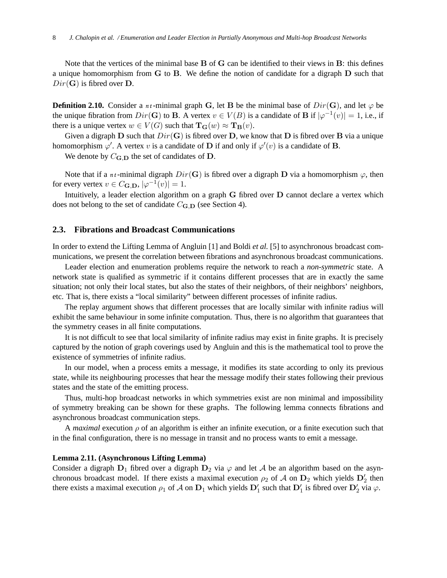Note that the vertices of the minimal base B of G can be identified to their views in B: this defines a unique homomorphism from G to B. We define the notion of candidate for a digraph D such that  $Dir(G)$  is fibred over **D**.

**Definition 2.10.** Consider a *nt*-minimal graph G, let B be the minimal base of  $Dir(G)$ , and let  $\varphi$  be the unique fibration from  $Dir(G)$  to B. A vertex  $v \in V(B)$  is a candidate of B if  $|\varphi^{-1}(v)| = 1$ , i.e., if there is a unique vertex  $w \in V(G)$  such that  $\mathbf{T}_{\mathbf{G}}(w) \approx \mathbf{T}_{\mathbf{B}}(v)$ .

Given a digraph D such that  $Dir(G)$  is fibred over D, we know that D is fibred over B via a unique homomorphism  $\varphi'$ . A vertex v is a candidate of **D** if and only if  $\varphi'(v)$  is a candidate of **B**.

We denote by  $C_{\mathbf{G},\mathbf{D}}$  the set of candidates of  $\mathbf{D}$ .

Note that if a *nt*-minimal digraph  $Dir(G)$  is fibred over a digraph D via a homomorphism  $\varphi$ , then for every vertex  $v \in C_{\mathbf{G},\mathbf{D}}, |\varphi^{-1}(v)| = 1$ .

Intuitively, a leader election algorithm on a graph G fibred over D cannot declare a vertex which does not belong to the set of candidate  $C_{\mathbf{G},\mathbf{D}}$  (see Section 4).

## **2.3. Fibrations and Broadcast Communications**

In order to extend the Lifting Lemma of Angluin [1] and Boldi *et al.* [5] to asynchronous broadcast communications, we present the correlation between fibrations and asynchronous broadcast communications.

Leader election and enumeration problems require the network to reach a *non-symmetric* state. A network state is qualified as symmetric if it contains different processes that are in exactly the same situation; not only their local states, but also the states of their neighbors, of their neighbors' neighbors, etc. That is, there exists a "local similarity" between different processes of infinite radius.

The replay argument shows that different processes that are locally similar with infinite radius will exhibit the same behaviour in some infinite computation. Thus, there is no algorithm that guarantees that the symmetry ceases in all finite computations.

It is not difficult to see that local similarity of infinite radius may exist in finite graphs. It is precisely captured by the notion of graph coverings used by Angluin and this is the mathematical tool to prove the existence of symmetries of infinite radius.

In our model, when a process emits a message, it modifies its state according to only its previous state, while its neighbouring processes that hear the message modify their states following their previous states and the state of the emitting process.

Thus, multi-hop broadcast networks in which symmetries exist are non minimal and impossibility of symmetry breaking can be shown for these graphs. The following lemma connects fibrations and asynchronous broadcast communication steps.

A *maximal* execution ρ of an algorithm is either an infinite execution, or a finite execution such that in the final configuration, there is no message in transit and no process wants to emit a message.

### **Lemma 2.11. (Asynchronous Lifting Lemma)**

Consider a digraph  $D_1$  fibred over a digraph  $D_2$  via  $\varphi$  and let A be an algorithm based on the asynchronous broadcast model. If there exists a maximal execution  $\rho_2$  of A on  $\mathbf{D}_2$  which yields  $\mathbf{D}'_2$  then there exists a maximal execution  $\rho_1$  of A on  $\mathbf{D}_1$  which yields  $\mathbf{D}'_1$  such that  $\mathbf{D}'_1$  is fibred over  $\mathbf{D}'_2$  via  $\varphi$ .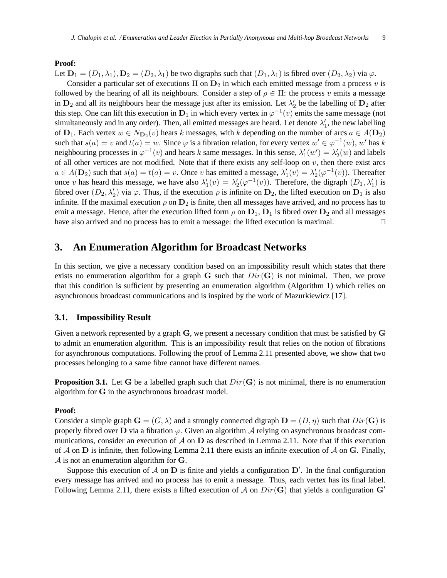## **Proof:**

Let  $\mathbf{D}_1 = (D_1, \lambda_1), \mathbf{D}_2 = (D_2, \lambda_1)$  be two digraphs such that  $(D_1, \lambda_1)$  is fibred over  $(D_2, \lambda_2)$  via  $\varphi$ .

Consider a particular set of executions  $\Pi$  on  $D_2$  in which each emitted message from a process v is followed by the hearing of all its neighbours. Consider a step of  $\rho \in \Pi$ : the process v emits a message in  $\mathbf{D}_2$  and all its neighbours hear the message just after its emission. Let  $\lambda'_2$  $\frac{1}{2}$  be the labelling of  $D_2$  after this step. One can lift this execution in  $D_1$  in which every vertex in  $\varphi^{-1}(v)$  emits the same message (not simultaneously and in any order). Then, all emitted messages are heard. Let denote  $\lambda'_1$  $\frac{1}{1}$ , the new labelling of  $D_1$ . Each vertex  $w \in N_{D_2}(v)$  hears k messages, with k depending on the number of arcs  $a \in A(D_2)$ such that  $s(a) = v$  and  $t(a) = w$ . Since  $\varphi$  is a fibration relation, for every vertex  $w' \in \varphi^{-1}(w)$ , w' has k neighbouring processes in  $\varphi^{-1}(v)$  and hears k same messages. In this sense,  $\lambda_1$  $\chi_1'(w') = \lambda_2'$  $y_2'(w)$  and labels of all other vertices are not modified. Note that if there exists any self-loop on  $v$ , then there exist arcs  $a \in A(\mathbf{D}_2)$  such that  $s(a) = t(a) = v$ . Once v has emitted a message,  $\lambda'_1$  $\chi_1'(v) = \lambda_2'$  $2'_{2}(\varphi^{-1}(v))$ . Thereafter once v has heard this message, we have also  $\lambda'$  $\lambda'_{1}(v) = \lambda'_{2}$  $\mathcal{U}_2(\varphi^{-1}(v))$ . Therefore, the digraph  $(D_1, \lambda'_1)$  is fibred over  $(D_2, \lambda'_2)$  via  $\varphi$ . Thus, if the execution  $\rho$  is infinite on  $\mathbf{D}_2$ , the lifted execution on  $\mathbf{D}_1$  is also infinite. If the maximal execution  $\rho$  on  $\mathbf{D}_2$  is finite, then all messages have arrived, and no process has to emit a message. Hence, after the execution lifted form  $\rho$  on  $D_1$ ,  $D_1$  is fibred over  $D_2$  and all messages have also arrived and no process has to emit a message: the lifted execution is maximal. ⊓⊔

## **3. An Enumeration Algorithm for Broadcast Networks**

In this section, we give a necessary condition based on an impossibility result which states that there exists no enumeration algorithm for a graph G such that  $Dir(G)$  is not minimal. Then, we prove that this condition is sufficient by presenting an enumeration algorithm (Algorithm 1) which relies on asynchronous broadcast communications and is inspired by the work of Mazurkiewicz [17].

#### **3.1. Impossibility Result**

Given a network represented by a graph G, we present a necessary condition that must be satisfied by G to admit an enumeration algorithm. This is an impossibility result that relies on the notion of fibrations for asynchronous computations. Following the proof of Lemma 2.11 presented above, we show that two processes belonging to a same fibre cannot have different names.

**Proposition 3.1.** Let G be a labelled graph such that  $Dir(G)$  is not minimal, there is no enumeration algorithm for G in the asynchronous broadcast model.

#### **Proof:**

Consider a simple graph  $\mathbf{G} = (G, \lambda)$  and a strongly connected digraph  $\mathbf{D} = (D, \eta)$  such that  $Dir(\mathbf{G})$  is properly fibred over D via a fibration  $\varphi$ . Given an algorithm A relying on asynchronous broadcast communications, consider an execution of  $\mathcal A$  on  $D$  as described in Lemma 2.11. Note that if this execution of A on D is infinite, then following Lemma 2.11 there exists an infinite execution of A on G. Finally,  $\mathcal A$  is not an enumeration algorithm for  $\mathbf G$ .

Suppose this execution of  $A$  on  $D$  is finite and yields a configuration  $D'$ . In the final configuration every message has arrived and no process has to emit a message. Thus, each vertex has its final label. Following Lemma 2.11, there exists a lifted execution of A on  $Dir(G)$  that yields a configuration  $G'$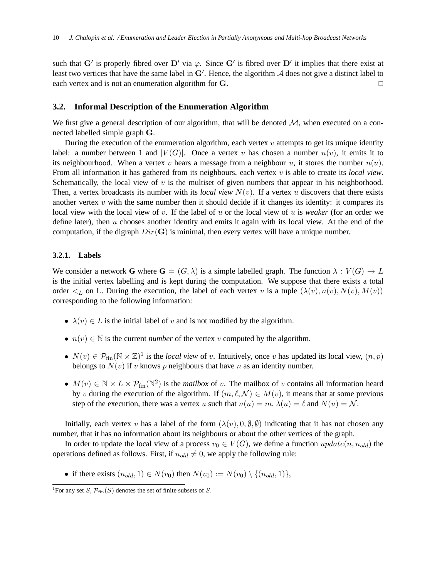such that G' is properly fibred over D' via  $\varphi$ . Since G' is fibred over D' it implies that there exist at least two vertices that have the same label in  $G'$ . Hence, the algorithm  $A$  does not give a distinct label to each vertex and is not an enumeration algorithm for G. □

## **3.2. Informal Description of the Enumeration Algorithm**

We first give a general description of our algorithm, that will be denoted  $\mathcal{M}$ , when executed on a connected labelled simple graph G.

During the execution of the enumeration algorithm, each vertex  $v$  attempts to get its unique identity label: a number between 1 and  $|V(G)|$ . Once a vertex v has chosen a number  $n(v)$ , it emits it to its neighbourhood. When a vertex v hears a message from a neighbour u, it stores the number  $n(u)$ . From all information it has gathered from its neighbours, each vertex v is able to create its *local view*. Schematically, the local view of  $v$  is the multiset of given numbers that appear in his neighborhood. Then, a vertex broadcasts its number with its *local view*  $N(v)$ . If a vertex u discovers that there exists another vertex  $v$  with the same number then it should decide if it changes its identity: it compares its local view with the local view of v. If the label of u or the local view of u is *weaker* (for an order we define later), then  $u$  chooses another identity and emits it again with its local view. At the end of the computation, if the digraph  $Dir(G)$  is minimal, then every vertex will have a unique number.

#### **3.2.1. Labels**

We consider a network **G** where  $\mathbf{G} = (G, \lambda)$  is a simple labelled graph. The function  $\lambda : V(G) \to L$ is the initial vertex labelling and is kept during the computation. We suppose that there exists a total order  $\leq_L$  on L. During the execution, the label of each vertex v is a tuple  $(\lambda(v), n(v), N(v), M(v))$ corresponding to the following information:

- $\lambda(v) \in L$  is the initial label of v and is not modified by the algorithm.
- $n(v) \in \mathbb{N}$  is the current *number* of the vertex v computed by the algorithm.
- $N(v) \in \mathcal{P}_{fin}(\mathbb{N} \times \mathbb{Z})^1$  is the *local view* of v. Intuitively, once v has updated its local view,  $(n, p)$ belongs to  $N(v)$  if v knows p neighbours that have n as an identity number.
- $M(v) \in \mathbb{N} \times L \times \mathcal{P}_{fin}(\mathbb{N}^2)$  is the *mailbox* of v. The mailbox of v contains all information heard by v during the execution of the algorithm. If  $(m, \ell, \mathcal{N}) \in M(v)$ , it means that at some previous step of the execution, there was a vertex u such that  $n(u) = m$ ,  $\lambda(u) = \ell$  and  $N(u) = \mathcal{N}$ .

Initially, each vertex v has a label of the form  $(\lambda(v), 0, \emptyset, \emptyset)$  indicating that it has not chosen any number, that it has no information about its neighbours or about the other vertices of the graph.

In order to update the local view of a process  $v_0 \in V(G)$ , we define a function  $update(n, n_{old})$  the operations defined as follows. First, if  $n_{old} \neq 0$ , we apply the following rule:

• if there exists  $(n_{old}, 1) \in N(v_0)$  then  $N(v_0) := N(v_0) \setminus \{(n_{old}, 1)\},$ 

<sup>&</sup>lt;sup>1</sup>For any set S,  $\mathcal{P}_{fin}(S)$  denotes the set of finite subsets of S.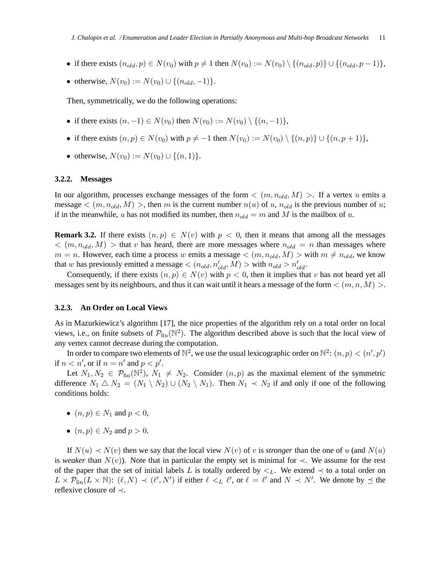- if there exists  $(n_{old}, p) \in N(v_0)$  with  $p \neq 1$  then  $N(v_0) := N(v_0) \setminus \{(n_{old}, p)\} \cup \{(n_{old}, p 1)\},$
- otherwise,  $N(v_0) := N(v_0) \cup \{(n_{old}, -1)\}.$

Then, symmetrically, we do the following operations:

- if there exists  $(n, -1) \in N(v_0)$  then  $N(v_0) := N(v_0) \setminus \{(n, -1)\},$
- if there exists  $(n, p) \in N(v_0)$  with  $p \neq -1$  then  $N(v_0) := N(v_0) \setminus \{(n, p)\} \cup \{(n, p + 1)\},$
- otherwise,  $N(v_0) := N(v_0) \cup \{(n, 1)\}.$

#### **3.2.2. Messages**

In our algorithm, processes exchange messages of the form  $\langle (m, n_{old}, M) \rangle$ . If a vertex u emits a message  $\lt (m, n_{old}, M) >$ , then m is the current number  $n(u)$  of u,  $n_{old}$  is the previous number of u; if in the meanwhile, u has not modified its number, then  $n_{old} = m$  and M is the mailbox of u.

**Remark 3.2.** If there exists  $(n, p) \in N(v)$  with  $p < 0$ , then it means that among all the messages  $\langle (m, n_{old}, M) \rangle$  that v has heard, there are more messages where  $n_{old} = n$  than messages where  $m = n$ . However, each time a process w emits a message  $\lt (m, n_{old}, M) >$  with  $m \neq n_{old}$ , we know that w has previously emitted a message  $\langle (n_{old}, n'_{old}, M) \rangle$  with  $n_{old} > n'_{old}$ .

Consequently, if there exists  $(n, p) \in N(v)$  with  $p < 0$ , then it implies that v has not heard yet all messages sent by its neighbours, and thus it can wait until it hears a message of the form  $\langle (m, n, M) \rangle$ .

#### **3.2.3. An Order on Local Views**

As in Mazurkiewicz's algorithm [17], the nice properties of the algorithm rely on a total order on local views, i.e., on finite subsets of  $\mathcal{P}_{fin}(\mathbb{N}^2)$ . The algorithm described above is such that the local view of any vertex cannot decrease during the computation.

In order to compare two elements of  $\mathbb{N}^2$ , we use the usual lexicographic order on  $\mathbb{N}^2$ :  $(n, p) < (n', p')$ if  $n < n'$ , or if  $n = n'$  and  $p < p'$ .

Let  $N_1, N_2 \in \mathcal{P}_{fin}(\mathbb{N}^2), N_1 \neq N_2$ . Consider  $(n, p)$  as the maximal element of the symmetric difference  $N_1 \triangle N_2 = (N_1 \setminus N_2) \cup (N_2 \setminus N_1)$ . Then  $N_1 \prec N_2$  if and only if one of the following conditions holds:

- $(n, p) \in N_1$  and  $p < 0$ ,
- $(n, p) \in N_2$  and  $p > 0$ .

If  $N(u) \prec N(v)$  then we say that the local view  $N(v)$  of v is *stronger* than the one of u (and  $N(u)$ ) is *weaker* than  $N(v)$ ). Note that in particular the empty set is minimal for  $\prec$ . We assume for the rest of the paper that the set of initial labels L is totally ordered by  $\lt_L$ . We extend  $\lt$  to a total order on  $L \times \overline{\mathcal{P}_{fin}}(L \times \mathbb{N})$ :  $(\ell, N) \prec (\ell', N')$  if either  $\ell \leq_L \ell'$ , or  $\ell = \ell'$  and  $N \prec N'$ . We denote by  $\preceq$  the reflexive closure of ≺.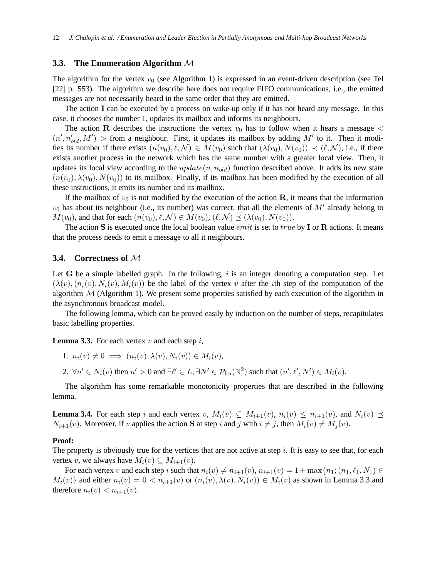### **3.3. The Enumeration Algorithm** M

The algorithm for the vertex  $v_0$  (see Algorithm 1) is expressed in an event-driven description (see Tel [22] p. 553). The algorithm we describe here does not require FIFO communications, i.e., the emitted messages are not necessarily heard in the same order that they are emitted.

The action I can be executed by a process on wake-up only if it has not heard any message. In this case, it chooses the number 1, updates its mailbox and informs its neighbours.

The action R describes the instructions the vertex  $v_0$  has to follow when it hears a message  $\lt$  $(n', n'_{old}, M')$  > from a neighbour. First, it updates its mailbox by adding  $M'$  to it. Then it modifies its number if there exists  $(n(v_0), \ell, \mathcal{N}) \in M(v_0)$  such that  $(\lambda(v_0), N(v_0)) \prec (\ell, \mathcal{N})$ , i.e., if there exists another process in the network which has the same number with a greater local view. Then, it updates its local view according to the  $update(n, n_{old})$  function described above. It adds its new state  $(n(v_0), \lambda(v_0), N(v_0))$  to its mailbox. Finally, if its mailbox has been modified by the execution of all these instructions, it emits its number and its mailbox.

If the mailbox of  $v_0$  is not modified by the execution of the action R, it means that the information  $v_0$  has about its neighbour (i.e., its number) was correct, that all the elements of  $M'$  already belong to  $M(v_0)$ , and that for each  $(n(v_0), \ell, \mathcal{N}) \in M(v_0), (\ell, \mathcal{N}) \prec (\lambda(v_0), N(v_0)).$ 

The action S is executed once the local boolean value *emit* is set to true by I or R actions. It means that the process needs to emit a message to all it neighbours.

## **3.4. Correctness of** M

Let G be a simple labelled graph. In the following,  $i$  is an integer denoting a computation step. Let  $(\lambda(v), (n_i(v), N_i(v), M_i(v))$  be the label of the vertex v after the *i*th step of the computation of the algorithm  $M$  (Algorithm 1). We present some properties satisfied by each execution of the algorithm in the asynchronous broadcast model.

The following lemma, which can be proved easily by induction on the number of steps, recapitulates basic labelling properties.

**Lemma 3.3.** For each vertex  $v$  and each step  $i$ ,

1. 
$$
n_i(v) \neq 0 \implies (n_i(v), \lambda(v), N_i(v)) \in M_i(v),
$$

2.  $\forall n' \in N_i(v)$  then  $n' > 0$  and  $\exists \ell' \in L, \exists N' \in \mathcal{P}_{fin}(\mathbb{N}^2)$  such that  $(n', \ell', N') \in M_i(v)$ .

The algorithm has some remarkable monotonicity properties that are described in the following lemma.

**Lemma 3.4.** For each step i and each vertex v,  $M_i(v) \subseteq M_{i+1}(v)$ ,  $n_i(v) \leq n_{i+1}(v)$ , and  $N_i(v) \preceq$  $N_{i+1}(v)$ . Moreover, if v applies the action S at step i and j with  $i \neq j$ , then  $M_i(v) \neq M_i(v)$ .

#### **Proof:**

The property is obviously true for the vertices that are not active at step  $i$ . It is easy to see that, for each vertex v, we always have  $M_i(v) \subseteq M_{i+1}(v)$ .

For each vertex v and each step i such that  $n_i(v) \neq n_{i+1}(v), n_{i+1}(v) = 1 + \max\{n_1; (n_1, \ell_1, N_1) \in$  $M_i(v)$ } and either  $n_i(v) = 0 < n_{i+1}(v)$  or  $(n_i(v), \lambda(v), N_i(v)) \in M_i(v)$  as shown in Lemma 3.3 and therefore  $n_i(v) < n_{i+1}(v)$ .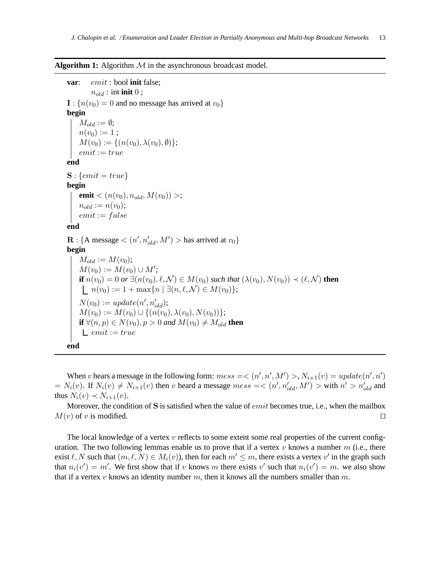**Algorithm 1:** Algorithm  $M$  in the asynchronous broadcast model.

**var**: emit : bool **init** false;  $n_{old}$ : int **init** 0;  $\mathbf{I}: \{n(v_0)=0\}$  and no message has arrived at  $v_0\}$ **begin**  $M_{old} := \emptyset;$  $n(v_0) := 1;$  $M(v_0) := \{(n(v_0), \lambda(v_0), \emptyset)\};$  $emit := true$ **end**  $S: \{emit = true\}$ **begin emit**  $<(n(v_0), n_{old}, M(v_0))>$ ;  $n_{old} := n(v_0);$  $emit := false$ **end**  $\mathbf{R}$ : {A message <  $(n', n'_{old}, M')$  > has arrived at  $v_0$ } **begin**  $M_{old} := M(v_0);$  $M(v_0) := M(v_0) \cup M';$ **if**  $n(v_0) = 0$  *or*  $\exists (n(v_0), \ell, \mathcal{N}) \in M(v_0)$  *such that*  $(\lambda(v_0), N(v_0)) \prec (\ell, \mathcal{N})$  **then**  $n(v_0) := 1 + \max\{n \mid \exists (n, \ell, \mathcal{N}) \in M(v_0)\};$  $N(v_0) := update(n', n'_{old});$  $M(v_0) := M(v_0) \cup \{(n(v_0), \lambda(v_0), N(v_0))\};$ **if**  $\forall (n, p) \in N(v_0), p > 0$  and  $M(v_0) \neq M_{old}$  **then**  $L$  emit := true **end**

When v hears a message in the following form:  $mess = \langle (n', n', M') \rangle, N_{i+1}(v) = update(n', n')$  $N_i(v)$ . If  $N_i(v) \neq N_{i+1}(v)$  then v heard a message  $mess = \langle (n', n'_{old}, M') \rangle$  with  $n' > n'_{old}$  and thus  $N_i(v) \prec N_{i+1}(v)$ .

Moreover, the condition of S is satisfied when the value of *emit* becomes true, i.e., when the mailbox  $M(v)$  of v is modified.  $□$ 

The local knowledge of a vertex  $v$  reflects to some extent some real properties of the current configuration. The two following lemmas enable us to prove that if a vertex  $v$  knows a number  $m$  (i.e., there exist  $\ell, N$  such that  $(m, \ell, N) \in M_i(v)$ , then for each  $m' \leq m$ , there exists a vertex  $v'$  in the graph such that  $n_i(v') = m'$ . We first show that if v knows m there exists v' such that  $n_i(v') = m$ . we also show that if a vertex v knows an identity number m, then it knows all the numbers smaller than  $m$ .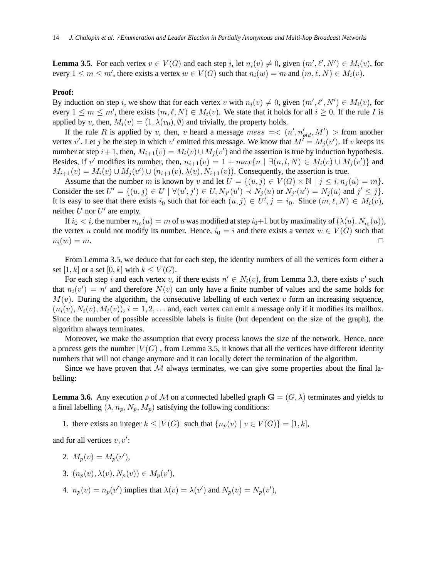**Lemma 3.5.** For each vertex  $v \in V(G)$  and each step i, let  $n_i(v) \neq 0$ , given  $(m', \ell', N') \in M_i(v)$ , for every  $1 \le m \le m'$ , there exists a vertex  $w \in V(G)$  such that  $n_i(w) = m$  and  $(m, \ell, N) \in M_i(v)$ .

## **Proof:**

By induction on step i, we show that for each vertex v with  $n_i(v) \neq 0$ , given  $(m', \ell', N') \in M_i(v)$ , for every  $1 \leq m \leq m'$ , there exists  $(m, \ell, N) \in M_i(v)$ . We state that it holds for all  $i \geq 0$ . If the rule I is applied by v, then,  $M_i(v) = (1, \lambda(v_0), \emptyset)$  and trivially, the property holds.

If the rule R is applied by v, then, v heard a message  $mess = \langle (n', n'_{old}, M') \rangle$  from another vertex v'. Let j be the step in which v' emitted this message. We know that  $M' = M_j(v')$ . If v keeps its number at step  $i + 1$ , then,  $M_{i+1}(v) = M_i(v) \cup M_j(v')$  and the assertion is true by induction hypothesis. Besides, if v' modifies its number, then,  $n_{i+1}(v) = 1 + max\{n \mid \exists (n, l, N) \in M_i(v) \cup M_j(v')\}$  and  $M_{i+1}(v) = M_i(v) \cup M_j(v') \cup (n_{i+1}(v), \lambda(v), N_{i+1}(v))$ . Consequently, the assertion is true.

Assume that the number m is known by v and let  $U = \{(u, j) \in V(G) \times \mathbb{N} \mid j \le i, n_i(u) = m\}$ . Consider the set  $U' = \{(u, j) \in U \mid \forall (u', j') \in U, N_{j'}(u') \prec N_j(u) \text{ or } N_{j'}(u') = N_j(u) \text{ and } j' \leq j\}.$ It is easy to see that there exists  $i_0$  such that for each  $(u, j) \in U', j = i_0$ . Since  $(m, \ell, N) \in M_i(v)$ , neither  $\hat{U}$  nor  $U'$  are empty.

If  $i_0 < i$ , the number  $n_{i_0}(u) = m$  of  $u$  was modified at step  $i_0+1$  but by maximality of  $(\lambda(u), N_{i_0}(u)),$ the vertex u could not modify its number. Hence,  $i_0 = i$  and there exists a vertex  $w \in V(G)$  such that  $n_i(w) = m.$ 

From Lemma 3.5, we deduce that for each step, the identity numbers of all the vertices form either a set [1, k] or a set [0, k] with  $k \leq V(G)$ .

For each step i and each vertex v, if there exists  $n' \in N_i(v)$ , from Lemma 3.3, there exists v' such that  $n_i(v') = n'$  and therefore  $N(v)$  can only have a finite number of values and the same holds for  $M(v)$ . During the algorithm, the consecutive labelling of each vertex v form an increasing sequence,  $(n_i(v), N_i(v), M_i(v)), i = 1, 2, \ldots$  and, each vertex can emit a message only if it modifies its mailbox. Since the number of possible accessible labels is finite (but dependent on the size of the graph), the algorithm always terminates.

Moreover, we make the assumption that every process knows the size of the network. Hence, once a process gets the number  $|V(G)|$ , from Lemma 3.5, it knows that all the vertices have different identity numbers that will not change anymore and it can locally detect the termination of the algorithm.

Since we have proven that  $M$  always terminates, we can give some properties about the final labelling:

**Lemma 3.6.** Any execution  $\rho$  of M on a connected labelled graph  $\mathbf{G} = (G, \lambda)$  terminates and yields to a final labelling  $(\lambda, n_p, N_p, M_p)$  satisfying the following conditions:

1. there exists an integer  $k \leq |V(G)|$  such that  $\{n_p(v) \mid v \in V(G)\} = [1, k]$ ,

and for all vertices  $v, v'$ :

- 2.  $M_p(v) = M_p(v')$ ,
- 3.  $(n_p(v), \lambda(v), N_p(v)) \in M_p(v'),$
- 4.  $n_p(v) = n_p(v')$  implies that  $\lambda(v) = \lambda(v')$  and  $N_p(v) = N_p(v')$ ,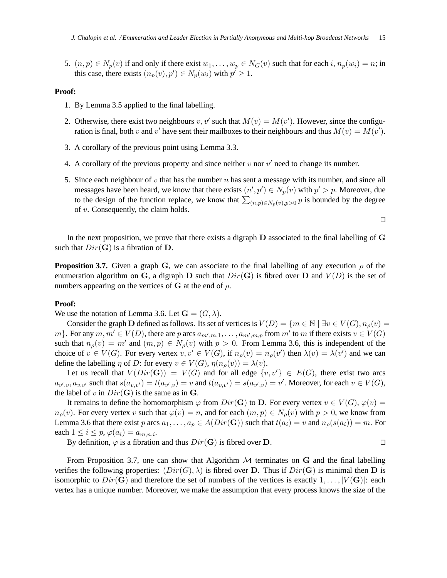5.  $(n, p) \in N_p(v)$  if and only if there exist  $w_1, \ldots, w_p \in N_G(v)$  such that for each i,  $n_p(w_i) = n$ ; in this case, there exists  $(n_p(v), p') \in N_p(w_i)$  with  $p' \geq 1$ .

## **Proof:**

- 1. By Lemma 3.5 applied to the final labelling.
- 2. Otherwise, there exist two neighbours  $v, v'$  such that  $M(v) = M(v')$ . However, since the configuration is final, both v and v' have sent their mailboxes to their neighbours and thus  $M(v) = M(v')$ .
- 3. A corollary of the previous point using Lemma 3.3.
- 4. A corollary of the previous property and since neither  $v$  nor  $v'$  need to change its number.
- 5. Since each neighbour of v that has the number n has sent a message with its number, and since all messages have been heard, we know that there exists  $(n', p') \in N_p(v)$  with  $p' > p$ . Moreover, due to the design of the function replace, we know that  $\sum_{(n,p)\in N_p(v),p>0} p$  is bounded by the degree of v. Consequently, the claim holds.

⊓⊔

In the next proposition, we prove that there exists a digraph D associated to the final labelling of G such that  $Dir(G)$  is a fibration of D.

**Proposition 3.7.** Given a graph G, we can associate to the final labelling of any execution  $\rho$  of the enumeration algorithm on G, a digraph D such that  $Dir(G)$  is fibred over D and  $V(D)$  is the set of numbers appearing on the vertices of G at the end of  $\rho$ .

#### **Proof:**

We use the notation of Lemma 3.6. Let  $\mathbf{G} = (G, \lambda)$ .

Consider the graph D defined as follows. Its set of vertices is  $V(D) = \{m \in \mathbb{N} \mid \exists v \in V(G), n_{\rho}(v) =$ m }. For any  $m, m' \in V(D)$ , there are p arcs  $a_{m',m,1}, \ldots, a_{m',m,p}$  from m' to m if there exists  $v \in V(G)$ such that  $n_{\rho}(v) = m'$  and  $(m, p) \in N_{\rho}(v)$  with  $p > 0$ . From Lemma 3.6, this is independent of the choice of  $v \in V(G)$ . For every vertex  $v, v' \in V(G)$ , if  $n_{\rho}(v) = n_{\rho}(v')$  then  $\lambda(v) = \lambda(v')$  and we can define the labelling  $\eta$  of D: for every  $v \in V(G)$ ,  $\eta(n_o(v)) = \lambda(v)$ .

Let us recall that  $V(Dir(G)) = V(G)$  and for all edge  $\{v, v'\} \in E(G)$ , there exist two arcs  $a_{v',v}, a_{v,v'}$  such that  $s(a_{v,v'}) = t(a_{v',v}) = v$  and  $t(a_{v,v'}) = s(a_{v',v}) = v'$ . Moreover, for each  $v \in V(G)$ , the label of v in  $Dir(G)$  is the same as in G.

It remains to define the homomorphism  $\varphi$  from  $Dir(G)$  to D. For every vertex  $v \in V(G)$ ,  $\varphi(v) =$  $n_{\rho}(v)$ . For every vertex v such that  $\varphi(v) = n$ , and for each  $(m, p) \in N_{\rho}(v)$  with  $p > 0$ , we know from Lemma 3.6 that there exist p arcs  $a_1, \ldots, a_p \in A(Dir(G))$  such that  $t(a_i) = v$  and  $n_\rho(s(a_i)) = m$ . For each  $1 \leq i \leq p$ ,  $\varphi(a_i) = a_{m,n,i}$ .

By definition,  $\varphi$  is a fibration and thus  $Dir(G)$  is fibred over D. □

From Proposition 3.7, one can show that Algorithm  $M$  terminates on G and the final labelling verifies the following properties:  $(Dir(G), \lambda)$  is fibred over D. Thus if  $Dir(G)$  is minimal then D is isomorphic to  $Dir(G)$  and therefore the set of numbers of the vertices is exactly  $1, \ldots, |V(G)|$ : each vertex has a unique number. Moreover, we make the assumption that every process knows the size of the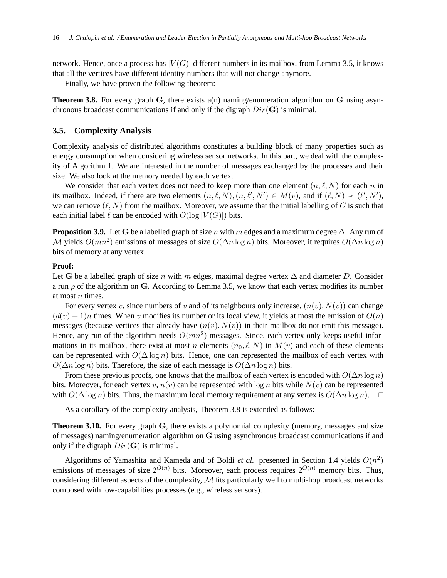network. Hence, once a process has  $|V(G)|$  different numbers in its mailbox, from Lemma 3.5, it knows that all the vertices have different identity numbers that will not change anymore.

Finally, we have proven the following theorem:

**Theorem 3.8.** For every graph G, there exists a(n) naming/enumeration algorithm on G using asynchronous broadcast communications if and only if the digraph  $Dir(G)$  is minimal.

## **3.5. Complexity Analysis**

Complexity analysis of distributed algorithms constitutes a building block of many properties such as energy consumption when considering wireless sensor networks. In this part, we deal with the complexity of Algorithm 1. We are interested in the number of messages exchanged by the processes and their size. We also look at the memory needed by each vertex.

We consider that each vertex does not need to keep more than one element  $(n, \ell, N)$  for each n in its mailbox. Indeed, if there are two elements  $(n, \ell, N), (n, \ell', N') \in M(v)$ , and if  $(\ell, N) \prec (\ell', N')$ , we can remove  $(\ell, N)$  from the mailbox. Moreover, we assume that the initial labelling of G is such that each initial label  $\ell$  can be encoded with  $O(\log |V(G)|)$  bits.

**Proposition 3.9.** Let G be a labelled graph of size n with m edges and a maximum degree  $\Delta$ . Any run of M yields  $O(mn^2)$  emissions of messages of size  $O(\Delta n \log n)$  bits. Moreover, it requires  $O(\Delta n \log n)$ bits of memory at any vertex.

## **Proof:**

Let G be a labelled graph of size n with m edges, maximal degree vertex  $\Delta$  and diameter D. Consider a run  $\rho$  of the algorithm on G. According to Lemma 3.5, we know that each vertex modifies its number at most n times.

For every vertex v, since numbers of v and of its neighbours only increase,  $(n(v), N(v))$  can change  $(d(v) + 1)n$  times. When v modifies its number or its local view, it yields at most the emission of  $O(n)$ messages (because vertices that already have  $(n(v), N(v))$  in their mailbox do not emit this message). Hence, any run of the algorithm needs  $O(mn^2)$  messages. Since, each vertex only keeps useful informations in its mailbox, there exist at most n elements  $(n_0, \ell, N)$  in  $M(v)$  and each of these elements can be represented with  $O(\Delta \log n)$  bits. Hence, one can represented the mailbox of each vertex with  $O(\Delta n \log n)$  bits. Therefore, the size of each message is  $O(\Delta n \log n)$  bits.

From these previous proofs, one knows that the mailbox of each vertex is encoded with  $O(\Delta n \log n)$ bits. Moreover, for each vertex v,  $n(v)$  can be represented with  $\log n$  bits while  $N(v)$  can be represented with  $O(\Delta \log n)$  bits. Thus, the maximum local memory requirement at any vertex is  $O(\Delta n \log n)$ . □

As a corollary of the complexity analysis, Theorem 3.8 is extended as follows:

**Theorem 3.10.** For every graph G, there exists a polynomial complexity (memory, messages and size of messages) naming/enumeration algorithm on G using asynchronous broadcast communications if and only if the digraph  $Dir(G)$  is minimal.

Algorithms of Yamashita and Kameda and of Boldi *et al.* presented in Section 1.4 yields  $O(n^2)$ emissions of messages of size  $2^{O(n)}$  bits. Moreover, each process requires  $2^{O(n)}$  memory bits. Thus, considering different aspects of the complexity,  $M$  fits particularly well to multi-hop broadcast networks composed with low-capabilities processes (e.g., wireless sensors).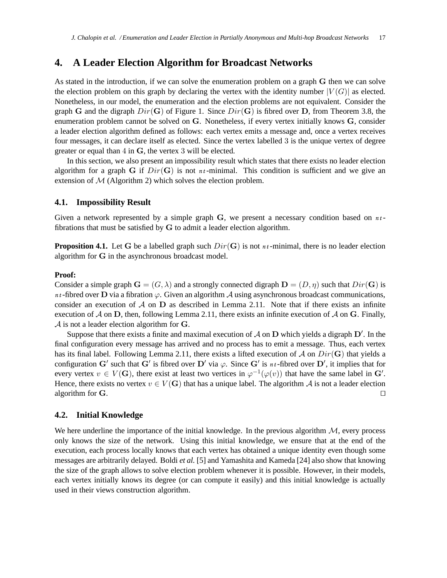## **4. A Leader Election Algorithm for Broadcast Networks**

As stated in the introduction, if we can solve the enumeration problem on a graph G then we can solve the election problem on this graph by declaring the vertex with the identity number  $|V(G)|$  as elected. Nonetheless, in our model, the enumeration and the election problems are not equivalent. Consider the graph G and the digraph  $Dir(G)$  of Figure 1. Since  $Dir(G)$  is fibred over D, from Theorem 3.8, the enumeration problem cannot be solved on G. Nonetheless, if every vertex initially knows G, consider a leader election algorithm defined as follows: each vertex emits a message and, once a vertex receives four messages, it can declare itself as elected. Since the vertex labelled 3 is the unique vertex of degree greater or equal than 4 in G, the vertex 3 will be elected.

In this section, we also present an impossibility result which states that there exists no leader election algorithm for a graph G if  $Dir(G)$  is not  $n_t$ -minimal. This condition is sufficient and we give an extension of  $M$  (Algorithm 2) which solves the election problem.

#### **4.1. Impossibility Result**

Given a network represented by a simple graph G, we present a necessary condition based on  $n_t$ fibrations that must be satisfied by G to admit a leader election algorithm.

**Proposition 4.1.** Let G be a labelled graph such  $Dir(G)$  is not  $n_t$ -minimal, there is no leader election algorithm for G in the asynchronous broadcast model.

#### **Proof:**

Consider a simple graph  $\mathbf{G} = (G, \lambda)$  and a strongly connected digraph  $\mathbf{D} = (D, \eta)$  such that  $Dir(\mathbf{G})$  is *nt* -fibred over **D** via a fibration  $\varphi$ . Given an algorithm A using asynchronous broadcast communications, consider an execution of  $A$  on  $D$  as described in Lemma 2.11. Note that if there exists an infinite execution of  $\mathcal A$  on  $D$ , then, following Lemma 2.11, there exists an infinite execution of  $\mathcal A$  on  $G$ . Finally, A is not a leader election algorithm for G.

Suppose that there exists a finite and maximal execution of  $A$  on  $D$  which yields a digraph  $D'$ . In the final configuration every message has arrived and no process has to emit a message. Thus, each vertex has its final label. Following Lemma 2.11, there exists a lifted execution of A on  $Dir(G)$  that yields a configuration G' such that G' is fibred over D' via  $\varphi$ . Since G' is *nt*-fibred over D', it implies that for every vertex  $v \in V(G)$ , there exist at least two vertices in  $\varphi^{-1}(\varphi(v))$  that have the same label in G'. Hence, there exists no vertex  $v \in V(G)$  that has a unique label. The algorithm A is not a leader election algorithm for G.  $□$ 

## **4.2. Initial Knowledge**

We here underline the importance of the initial knowledge. In the previous algorithm  $M$ , every process only knows the size of the network. Using this initial knowledge, we ensure that at the end of the execution, each process locally knows that each vertex has obtained a unique identity even though some messages are arbitrarily delayed. Boldi *et al.* [5] and Yamashita and Kameda [24] also show that knowing the size of the graph allows to solve election problem whenever it is possible. However, in their models, each vertex initially knows its degree (or can compute it easily) and this initial knowledge is actually used in their views construction algorithm.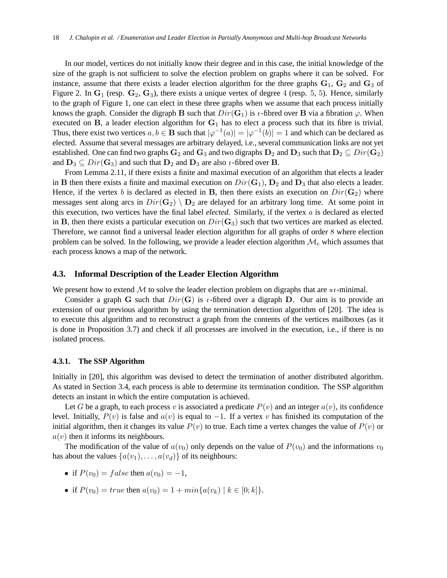In our model, vertices do not initially know their degree and in this case, the initial knowledge of the size of the graph is not sufficient to solve the election problem on graphs where it can be solved. For instance, assume that there exists a leader election algorithm for the three graphs  $G_1$ ,  $G_2$  and  $G_3$  of Figure 2. In  $G_1$  (resp.  $G_2$ ,  $G_3$ ), there exists a unique vertex of degree 4 (resp. 5, 5). Hence, similarly to the graph of Figure 1, one can elect in these three graphs when we assume that each process initially knows the graph. Consider the digraph B such that  $Dir(G_1)$  is *t*-fibred over B via a fibration  $\varphi$ . When executed on B, a leader election algorithm for  $G_1$  has to elect a process such that its fibre is trivial. Thus, there exist two vertices  $a, b \in \mathbf{B}$  such that  $|\varphi^{-1}(a)| = |\varphi^{-1}(b)| = 1$  and which can be declared as elected. Assume that several messages are arbitrary delayed, i.e., several communication links are not yet established. One can find two graphs  $G_2$  and  $G_3$  and two digraphs  $D_2$  and  $D_3$  such that  $D_2 \subseteq Dir(G_2)$ and  $D_3 \subseteq Dir(G_3)$  and such that  $D_2$  and  $D_3$  are also *t*-fibred over **B**.

From Lemma 2.11, if there exists a finite and maximal execution of an algorithm that elects a leader in **B** then there exists a finite and maximal execution on  $Dir(G_1)$ ,  $D_2$  and  $D_3$  that also elects a leader. Hence, if the vertex b is declared as elected in B, then there exists an execution on  $Dir(G_2)$  where messages sent along arcs in  $Dir(\mathbf{G}_2) \setminus \mathbf{D}_2$  are delayed for an arbitrary long time. At some point in this execution, two vertices have the final label *elected*. Similarly, if the vertex a is declared as elected in B, then there exists a particular execution on  $Dir(G_3)$  such that two vertices are marked as elected. Therefore, we cannot find a universal leader election algorithm for all graphs of order 8 where election problem can be solved. In the following, we provide a leader election algorithm  $\mathcal{M}_e$  which assumes that each process knows a map of the network.

#### **4.3. Informal Description of the Leader Election Algorithm**

We present how to extend  $M$  to solve the leader election problem on digraphs that are  $n_t$ -minimal.

Consider a graph G such that  $Dir(G)$  is *t*-fibred over a digraph D. Our aim is to provide an extension of our previous algorithm by using the termination detection algorithm of [20]. The idea is to execute this algorithm and to reconstruct a graph from the contents of the vertices mailboxes (as it is done in Proposition 3.7) and check if all processes are involved in the execution, i.e., if there is no isolated process.

## **4.3.1. The SSP Algorithm**

Initially in [20], this algorithm was devised to detect the termination of another distributed algorithm. As stated in Section 3.4, each process is able to determine its termination condition. The SSP algorithm detects an instant in which the entire computation is achieved.

Let G be a graph, to each process v is associated a predicate  $P(v)$  and an integer  $a(v)$ , its confidence level. Initially,  $P(v)$  is false and  $a(v)$  is equal to  $-1$ . If a vertex v has finished its computation of the initial algorithm, then it changes its value  $P(v)$  to true. Each time a vertex changes the value of  $P(v)$  or  $a(v)$  then it informs its neighbours.

The modification of the value of  $a(v_0)$  only depends on the value of  $P(v_0)$  and the informations  $v_0$ has about the values  $\{a(v_1), \ldots, a(v_d)\}\$  of its neighbours:

- if  $P(v_0) = false$  then  $a(v_0) = -1$ ,
- if  $P(v_0) = true$  then  $a(v_0) = 1 + min\{a(v_k) | k \in [0; k]\}.$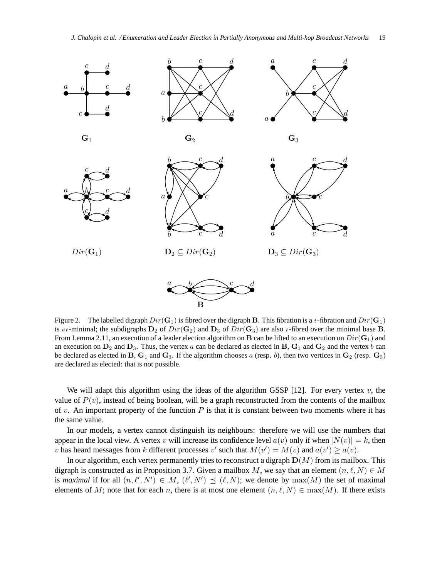

Figure 2. The labelled digraph  $Dir(\mathbf{G}_1)$  is fibred over the digraph B. This fibration is a *t*-fibration and  $Dir(\mathbf{G}_1)$ is *nt*-minimal; the subdigraphs  $D_2$  of  $Dir(\mathbf{G}_2)$  and  $D_3$  of  $Dir(\mathbf{G}_3)$  are also *t*-fibred over the minimal base **B**. From Lemma 2.11, an execution of a leader election algorithm on B can be lifted to an execution on  $Dir(G_1)$  and an execution on  $D_2$  and  $D_3$ . Thus, the vertex a can be declared as elected in B,  $G_1$  and  $G_2$  and the vertex b can be declared as elected in B,  $G_1$  and  $G_3$ . If the algorithm chooses a (resp. b), then two vertices in  $G_2$  (resp.  $G_3$ ) are declared as elected: that is not possible.

We will adapt this algorithm using the ideas of the algorithm GSSP [12]. For every vertex  $v$ , the value of  $P(v)$ , instead of being boolean, will be a graph reconstructed from the contents of the mailbox of v. An important property of the function  $P$  is that it is constant between two moments where it has the same value.

In our models, a vertex cannot distinguish its neighbours: therefore we will use the numbers that appear in the local view. A vertex v will increase its confidence level  $a(v)$  only if when  $|N(v)| = k$ , then v has heard messages from k different processes v' such that  $M(v') = M(v)$  and  $a(v') \ge a(v)$ .

In our algorithm, each vertex permanently tries to reconstruct a digraph  $D(M)$  from its mailbox. This digraph is constructed as in Proposition 3.7. Given a mailbox M, we say that an element  $(n, \ell, N) \in M$ is *maximal* if for all  $(n, \ell', N') \in M$ ,  $(\ell', N') \preceq (\ell, N)$ ; we denote by  $max(M)$  the set of maximal elements of M; note that for each n, there is at most one element  $(n, \ell, N) \in \max(M)$ . If there exists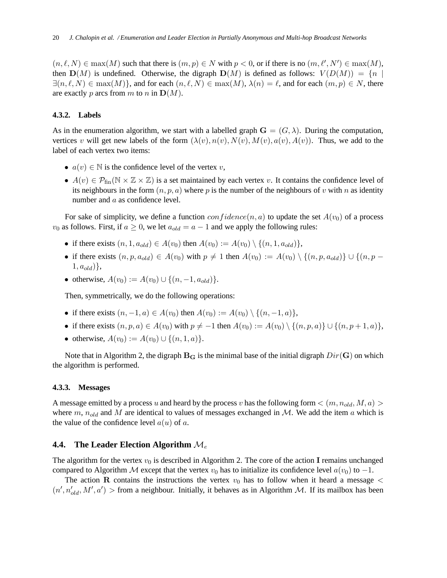$(n, \ell, N) \in \max(M)$  such that there is  $(m, p) \in N$  with  $p < 0$ , or if there is no  $(m, \ell', N') \in \max(M)$ , then  $\mathbf{D}(M)$  is undefined. Otherwise, the digraph  $\mathbf{D}(M)$  is defined as follows:  $V(D(M)) = \{n \mid$  $\exists (n, \ell, N) \in \max(M)$ , and for each  $(n, \ell, N) \in \max(M)$ ,  $\lambda(n) = \ell$ , and for each  $(m, p) \in N$ , there are exactly p arcs from m to n in  $\mathbf{D}(M)$ .

#### **4.3.2. Labels**

As in the enumeration algorithm, we start with a labelled graph  $\mathbf{G} = (G, \lambda)$ . During the computation, vertices v will get new labels of the form  $(\lambda(v), n(v), N(v), M(v), a(v), A(v))$ . Thus, we add to the label of each vertex two items:

- $a(v) \in \mathbb{N}$  is the confidence level of the vertex v,
- $A(v) \in \mathcal{P}_{fin}(\mathbb{N} \times \mathbb{Z} \times \mathbb{Z})$  is a set maintained by each vertex v. It contains the confidence level of its neighbours in the form  $(n, p, a)$  where p is the number of the neighbours of v with n as identity number and a as confidence level.

For sake of simplicity, we define a function  $confidence(n, a)$  to update the set  $A(v_0)$  of a process  $v_0$  as follows. First, if  $a \geq 0$ , we let  $a_{old} = a - 1$  and we apply the following rules:

- if there exists  $(n, 1, a_{old}) \in A(v_0)$  then  $A(v_0) := A(v_0) \setminus \{(n, 1, a_{old})\},\$
- if there exists  $(n, p, a_{old}) \in A(v_0)$  with  $p \neq 1$  then  $A(v_0) := A(v_0) \setminus \{(n, p, a_{old})\} \cup \{(n, p 1, a_{old}$ },
- otherwise,  $A(v_0) := A(v_0) \cup \{(n, -1, a_{old})\}.$

Then, symmetrically, we do the following operations:

- if there exists  $(n, -1, a) \in A(v_0)$  then  $A(v_0) := A(v_0) \setminus \{(n, -1, a)\},$
- if there exists  $(n, p, a) \in A(v_0)$  with  $p \neq -1$  then  $A(v_0) := A(v_0) \setminus \{(n, p, a)\} \cup \{(n, p + 1, a)\},$
- otherwise,  $A(v_0) := A(v_0) \cup \{(n, 1, a)\}.$

Note that in Algorithm 2, the digraph  $B_G$  is the minimal base of the initial digraph  $Dir(G)$  on which the algorithm is performed.

#### **4.3.3. Messages**

A message emitted by a process u and heard by the process v has the following form  $\langle (m, n_{old}, M, a) \rangle$ where m,  $n_{old}$  and M are identical to values of messages exchanged in M. We add the item a which is the value of the confidence level  $a(u)$  of a.

## **4.4. The Leader Election Algorithm** M<sup>e</sup>

The algorithm for the vertex  $v_0$  is described in Algorithm 2. The core of the action I remains unchanged compared to Algorithm M except that the vertex  $v_0$  has to initialize its confidence level  $a(v_0)$  to  $-1$ .

The action R contains the instructions the vertex  $v_0$  has to follow when it heard a message  $\lt$  $(n', n'_{old}, M', a')$  > from a neighbour. Initially, it behaves as in Algorithm M. If its mailbox has been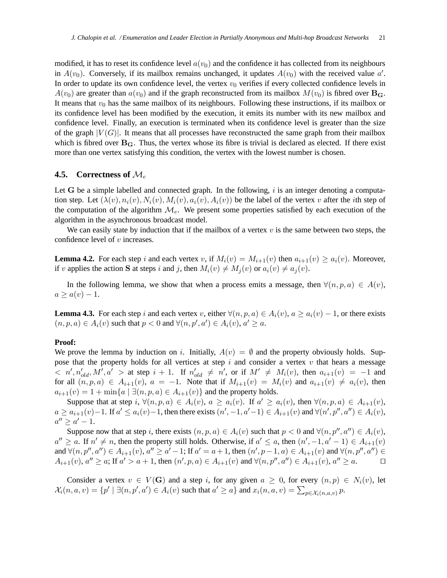modified, it has to reset its confidence level  $a(v_0)$  and the confidence it has collected from its neighbours in  $A(v_0)$ . Conversely, if its mailbox remains unchanged, it updates  $A(v_0)$  with the received value a'. In order to update its own confidence level, the vertex  $v_0$  verifies if every collected confidence levels in  $A(v_0)$  are greater than  $a(v_0)$  and if the graph reconstructed from its mailbox  $M(v_0)$  is fibred over  $\mathbf{B}_{\mathbf{G}}$ . It means that  $v_0$  has the same mailbox of its neighbours. Following these instructions, if its mailbox or its confidence level has been modified by the execution, it emits its number with its new mailbox and confidence level. Finally, an execution is terminated when its confidence level is greater than the size of the graph  $|V(G)|$ . It means that all processes have reconstructed the same graph from their mailbox which is fibred over  $B_G$ . Thus, the vertex whose its fibre is trivial is declared as elected. If there exist more than one vertex satisfying this condition, the vertex with the lowest number is chosen.

## **4.5. Correctness of** M<sup>e</sup>

Let G be a simple labelled and connected graph. In the following,  $i$  is an integer denoting a computation step. Let  $(\lambda(v), n_i(v), N_i(v), M_i(v), a_i(v), A_i(v))$  be the label of the vertex v after the *i*th step of the computation of the algorithm  $\mathcal{M}_{e}$ . We present some properties satisfied by each execution of the algorithm in the asynchronous broadcast model.

We can easily state by induction that if the mailbox of a vertex  $v$  is the same between two steps, the confidence level of v increases.

**Lemma 4.2.** For each step i and each vertex v, if  $M_i(v) = M_{i+1}(v)$  then  $a_{i+1}(v) \ge a_i(v)$ . Moreover, if v applies the action S at steps i and j, then  $M_i(v) \neq M_i(v)$  or  $a_i(v) \neq a_i(v)$ .

In the following lemma, we show that when a process emits a message, then  $\forall (n, p, a) \in A(v)$ ,  $a \geq a(v) - 1.$ 

**Lemma 4.3.** For each step i and each vertex v, either  $\forall (n, p, a) \in A_i(v)$ ,  $a \ge a_i(v) - 1$ , or there exists  $(n, p, a) \in A_i(v)$  such that  $p < 0$  and  $\forall (n, p', a') \in A_i(v)$ ,  $a' \ge a$ .

#### **Proof:**

We prove the lemma by induction on i. Initially,  $A(v) = \emptyset$  and the property obviously holds. Suppose that the property holds for all vertices at step  $i$  and consider a vertex  $v$  that hears a message  $\alpha   
 $n', n'_{old}, M', a' >$  at step  $i + 1$ . If  $n'_{old} \neq n'$ , or if  $M' \neq M_i(v)$ , then  $a_{i+1}(v) = -1$  and$ for all  $(n, p, a) \in A_{i+1}(v)$ ,  $a = -1$ . Note that if  $M_{i+1}(v) = M_i(v)$  and  $a_{i+1}(v) \neq a_i(v)$ , then  $a_{i+1}(v) = 1 + \min\{a \mid \exists (n, p, a) \in A_{i+1}(v)\}\$  and the property holds.

Suppose that at step i,  $\forall (n, p, a) \in A_i(v)$ ,  $a \ge a_i(v)$ . If  $a' \ge a_i(v)$ , then  $\forall (n, p, a) \in A_{i+1}(v)$ ,  $a \ge a_{i+1}(v) - 1$ . If  $a' \le a_i(v) - 1$ , then there exists  $(n', -1, a' - 1) \in A_{i+1}(v)$  and  $\forall (n', p'', a'') \in A_i(v)$ ,  $a'' \ge a' - 1.$ 

Suppose now that at step i, there exists  $(n, p, a) \in A_i(v)$  such that  $p < 0$  and  $\forall (n, p'', a'') \in A_i(v)$ ,  $a'' \ge a$ . If  $n' \ne n$ , then the property still holds. Otherwise, if  $a' \le a$ , then  $(n', -1, a' - 1) \in A_{i+1}(v)$ and  $\forall (n, p'', a'') \in A_{i+1}(v)$ ,  $a'' \ge a'-1$ ; If  $a' = a+1$ , then  $(n', p-1, a) \in A_{i+1}(v)$  and  $\forall (n, p'', a'') \in A_{i+1}(v)$  $A_{i+1}(v)$ ,  $a'' \ge a$ ; If  $a' > a+1$ , then  $(n', p, a) \in A_{i+1}(v)$  and  $\forall (n, p'', a'') \in A_{i+1}(v)$ ,  $a'' \ge a$ .  $\Box$ 

Consider a vertex  $v \in V(G)$  and a step i, for any given  $a \geq 0$ , for every  $(n, p) \in N_i(v)$ , let  $\mathcal{X}_i(n, a, v) = \{p' \mid \exists (n, p', a') \in A_i(v) \text{ such that } a' \ge a\} \text{ and } x_i(n, a, v) = \sum_{p \in \mathcal{X}_i(n, a, v)} p.$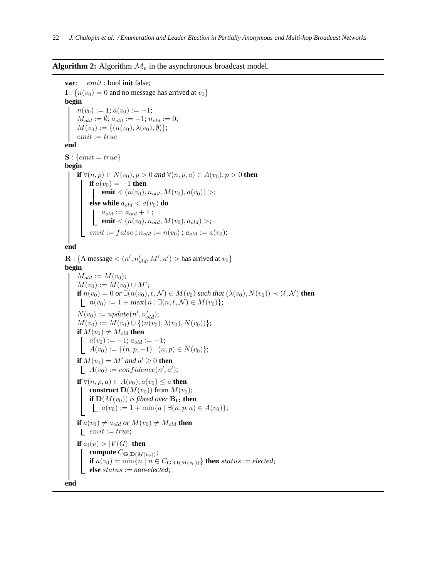#### **Algorithm 2:** Algorithm  $\mathcal{M}_e$  in the asynchronous broadcast model.

```
var: emit : bool init false;
\mathbf{I}: \{n(v_0) = 0 \text{ and no message has arrived at } v_0\}begin
    n(v_0) := 1; a(v_0) := -1;M_{old} := \emptyset; a_{old} := -1; n_{old} := 0;
    M(v_0) := \{(n(v_0), \lambda(v_0), \emptyset)\};emit := trueend
S: \{emit = true\}begin
    if ∀(n, p) ∈ N(v<sub>0</sub>), p > 0 and ∀(n, p, a) ∈ A(v<sub>0</sub>), p > 0 then
         if a(v_0) = -1 then
              emit < (n(v_0), n_{old}, M(v_0), a(v_0)) >;
         else while a_{old} < a(v_0) do
               a_{old} := a_{old} + 1;emit <(n(v_0), n_{old}, M(v_0), a_{old})>;
          emit := false ; n_{old} := n(v_0) ; a_{old} := a(v_0);end
```

```
\mathbf{R}: {A message < (n', n'_{old}, M', a') > has arrived at v_0}
begin
     M_{old} := M(v_0);M(v_0) := M(v_0) \cup M';if n(v_0) = 0 or \exists (n(v_0), \ell, \mathcal{N}) \in M(v_0) such that (\lambda(v_0), N(v_0)) \prec (\ell, \mathcal{N}) then
      | n(v_0) := 1 + \max\{n \mid \exists (n, \ell, \mathcal{N}) \in M(v_0)\};N(v_0) := update(n', n'_{old});M(v_0) := M(v_0) \cup \{(n(v_0), \lambda(v_0), N(v_0))\};if M(v_0) \neq M_{old} then
         a(v_0) := -1; a_{old} := -1;A(v_0) := \{(n, p, -1) | (n, p) \in N(v_0)\};if M(v_0) = M' and a' \ge 0 then
           A(v_0) := confidence(n', a');if \forall (n, p, a) \in A(v_0), a(v_0) \leq a then
          construct D(M(v_0)) from M(v_0);
          if \mathbf{D}(M(v_0)) is fibred over \mathbf{B}_\mathbf{G} then
           a(v_0) := 1 + \min\{a \mid \exists (n, p, a) \in A(v_0)\};if a(v_0) \neq a_{old} or M(v_0) \neq M_{old} then
      \quademit := true;
     if a_i(v) > |V(G)| then
          compute C_{\mathbf{G},\mathbf{D}(M(v_0))};
          if n(v_0) = \min\{n \mid n \in C_{\mathbf{G},\mathbf{D}(M(v_0))}\}\ then status := elected;
          else status := non-elected;
end
```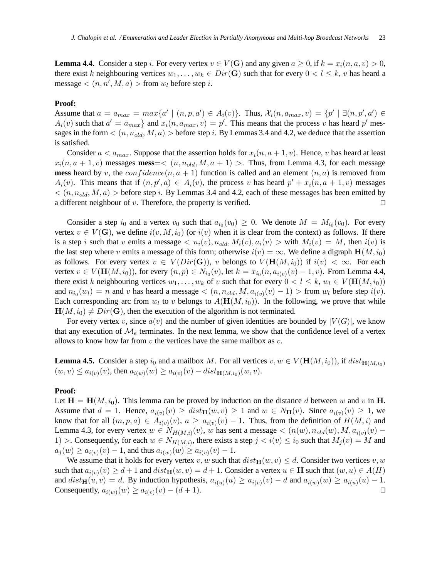**Lemma 4.4.** Consider a step i. For every vertex  $v \in V(G)$  and any given  $a \ge 0$ , if  $k = x_i(n, a, v) > 0$ , there exist k neighbouring vertices  $w_1, \ldots, w_k \in Dir(G)$  such that for every  $0 < l \leq k$ , v has heard a message  $\langle (n, n', M, a) \rangle$  from  $w_l$  before step *i*.

#### **Proof:**

Assume that  $a = a_{max} = max\{a' \mid (n, p, a') \in A_i(v)\}\$ . Thus,  $\mathcal{X}_i(n, a_{max}, v) = \{p' \mid \exists (n, p', a') \in A_i(v)\}\$  $A_i(v)$  such that  $a' = a_{max}$  and  $x_i(n, a_{max}, v) = p'$ . This means that the process v has heard p' messages in the form  $\langle (n, n_{old}, M, a) \rangle$  before step i. By Lemmas 3.4 and 4.2, we deduce that the assertion is satisfied.

Consider  $a < a_{max}$ . Suppose that the assertion holds for  $x_i(n, a + 1, v)$ . Hence, v has heard at least  $x_i(n, a+1, v)$  messages **mess**=<  $(n, n_{old}, M, a+1)$  >. Thus, from Lemma 4.3, for each message **mess** heard by v, the  $confidence(n, a + 1)$  function is called and an element  $(n, a)$  is removed from  $A_i(v)$ . This means that if  $(n, p', a) \in A_i(v)$ , the process v has heard  $p' + x_i(n, a + 1, v)$  messages  $\langle (n, n_{old}, M, a) \rangle$  before step i. By Lemmas 3.4 and 4.2, each of these messages has been emitted by a different neighbour of v. Therefore, the property is verified.  $□$ 

Consider a step  $i_0$  and a vertex  $v_0$  such that  $a_{i_0}(v_0) \ge 0$ . We denote  $M = M_{i_0}(v_0)$ . For every vertex  $v \in V(G)$ , we define  $i(v, M, i_0)$  (or  $i(v)$  when it is clear from the context) as follows. If there is a step i such that v emits a message  $\langle n_i(v), n_{old}, M_i(v), a_i(v) \rangle$  with  $M_i(v) = M$ , then  $i(v)$  is the last step where v emits a message of this form; otherwise  $i(v) = \infty$ . We define a digraph  $\mathbf{H}(M, i_0)$ as follows. For every vertex  $v \in V(Dir(G))$ , v belongs to  $V(H(M, i_0))$  if  $i(v) < \infty$ . For each vertex  $v \in V(\mathbf{H}(M, i_0))$ , for every  $(n, p) \in N_{i_0}(v)$ , let  $k = x_{i_0}(n, a_{i(v)}(v) - 1, v)$ . From Lemma 4.4, there exist k neighbouring vertices  $w_1, \ldots, w_k$  of v such that for every  $0 < l \leq k$ ,  $w_l \in V(\mathbf{H}(M, i_0))$ and  $n_{i_0}(w_l) = n$  and v has heard a message  $\lt (n, n_{old}, M, a_{i(v)}(v) - 1) >$  from  $w_l$  before step  $i(v)$ . Each corresponding arc from  $w_l$  to v belongs to  $A(\mathbf{H}(M, i_0))$ . In the following, we prove that while  $\mathbf{H}(M, i_0) \neq Dir(\mathbf{G})$ , then the execution of the algorithm is not terminated.

For every vertex v, since  $a(v)$  and the number of given identities are bounded by  $|V(G)|$ , we know that any execution of  $\mathcal{M}_e$  terminates. In the next lemma, we show that the confidence level of a vertex allows to know how far from  $v$  the vertices have the same mailbox as  $v$ .

**Lemma 4.5.** Consider a step  $i_0$  and a mailbox M. For all vertices  $v, w \in V(\mathbf{H}(M, i_0))$ , if  $dist_{\mathbf{H}(M, i_0)}$  $(w, v) \le a_{i(v)}(v)$ , then  $a_{i(w)}(w) \ge a_{i(v)}(v) - dist_{\mathbf{H}(M, i_0)}(w, v)$ .

#### **Proof:**

Let  $H = H(M, i_0)$ . This lemma can be proved by induction on the distance d between w and v in H. Assume that  $d = 1$ . Hence,  $a_{i(v)}(v) \geq dist_{\mathbf{H}}(w, v) \geq 1$  and  $w \in N_{\mathbf{H}}(v)$ . Since  $a_{i(v)}(v) \geq 1$ , we know that for all  $(m, p, a) \in A_{i(v)}(v)$ ,  $a \ge a_{i(v)}(v) - 1$ . Thus, from the definition of  $H(M, i)$  and Lemma 4.3, for every vertex  $w \in N_{H(M,i)}(v)$ , w has sent a message  $\lt (n(w), n_{old}(w), M, a_{i(v)}(v) -$ 1) >. Consequently, for each  $w \in N_{H(M,i)}$ , there exists a step  $j < i(v) \le i_0$  such that  $M_j(v) = M$  and  $a_j(w) \ge a_{i(v)}(v) - 1$ , and thus  $a_{i(w)}(w) \ge a_{i(v)}(v) - 1$ .

We assume that it holds for every vertex v, w such that  $dist_{\mathbf{H}}(w, v) \leq d$ . Consider two vertices v, w such that  $a_{i(v)}(v) \ge d+1$  and  $dist_{\mathbf{H}}(w, v) = d+1$ . Consider a vertex  $u \in \mathbf{H}$  such that  $(w, u) \in A(H)$ and  $dist_{\mathbf{H}}(u, v) = d$ . By induction hypothesis,  $a_{i(u)}(u) \ge a_{i(v)}(v) - d$  and  $a_{i(w)}(w) \ge a_{i(u)}(u) - 1$ . Consequently,  $a_{i(w)}(w) \ge a_{i(v)}(v) - (d+1)$ . □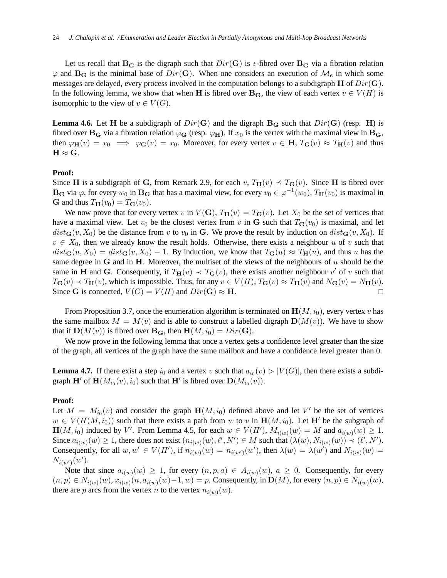Let us recall that  $\mathbf{B}_{\mathbf{G}}$  is the digraph such that  $Dir(\mathbf{G})$  is *t*-fibred over  $\mathbf{B}_{\mathbf{G}}$  via a fibration relation  $\varphi$  and  $\mathbf{B}_{\mathbf{G}}$  is the minimal base of  $Dir(\mathbf{G})$ . When one considers an execution of  $\mathcal{M}_e$  in which some messages are delayed, every process involved in the computation belongs to a subdigraph  $H$  of  $Dir(G)$ . In the following lemma, we show that when H is fibred over  $B_G$ , the view of each vertex  $v \in V(H)$  is isomorphic to the view of  $v \in V(G)$ .

**Lemma 4.6.** Let H be a subdigraph of  $Dir(G)$  and the digraph  $B_G$  such that  $Dir(G)$  (resp. H) is fibred over  $B_G$  via a fibration relation  $\varphi_G$  (resp.  $\varphi_H$ ). If  $x_0$  is the vertex with the maximal view in  $B_G$ , then  $\varphi_H(v) = x_0 \implies \varphi_G(v) = x_0$ . Moreover, for every vertex  $v \in H$ ,  $T_G(v) \approx T_H(v)$  and thus  $H \approx G.$ 

#### **Proof:**

Since H is a subdigraph of G, from Remark 2.9, for each v,  $T_H(v) \preceq T_G(v)$ . Since H is fibred over  $\bf{B}_G$  via  $\varphi$ , for every  $w_0$  in  $\bf{B}_G$  that has a maximal view, for every  $v_0 \in \varphi^{-1}(w_0)$ ,  $T_H(v_0)$  is maximal in **G** and thus  $T_{\mathbf{H}}(v_0) = T_{\mathbf{G}}(v_0)$ .

We now prove that for every vertex v in  $V(G)$ ,  $T_H(v) = T_G(v)$ . Let  $X_0$  be the set of vertices that have a maximal view. Let  $v_0$  be the closest vertex from v in G such that  $T_G(v_0)$  is maximal, and let  $dist_{\mathbf{G}}(v, X_0)$  be the distance from v to  $v_0$  in G. We prove the result by induction on  $dist_{\mathbf{G}}(v, X_0)$ . If  $v \in X_0$ , then we already know the result holds. Otherwise, there exists a neighbour u of v such that  $dist_{\mathbf{G}}(u, X_0) = dist_{\mathbf{G}}(v, X_0) - 1$ . By induction, we know that  $T_{\mathbf{G}}(u) \approx T_{\mathbf{H}}(u)$ , and thus u has the same degree in G and in H. Moreover, the multiset of the views of the neighbours of  $u$  should be the same in H and G. Consequently, if  $T_H(v) \prec T_G(v)$ , there exists another neighbour v' of v such that  $T_{\mathbf{G}}(v) \prec T_{\mathbf{H}}(v)$ , which is impossible. Thus, for any  $v \in V(H)$ ,  $T_{\mathbf{G}}(v) \approx T_{\mathbf{H}}(v)$  and  $N_{\mathbf{G}}(v) = N_{\mathbf{H}}(v)$ . Since G is connected,  $V(G) = V(H)$  and  $Dir(G) \approx H$ . □

From Proposition 3.7, once the enumeration algorithm is terminated on  $\mathbf{H}(M, i_0)$ , every vertex v has the same mailbox  $M = M(v)$  and is able to construct a labelled digraph  $\mathbf{D}(M(v))$ . We have to show that if  $\mathbf{D}(M(v))$  is fibred over  $\mathbf{B}_{\mathbf{G}}$ , then  $\mathbf{H}(M, i_0) = Dir(\mathbf{G})$ .

We now prove in the following lemma that once a vertex gets a confidence level greater than the size of the graph, all vertices of the graph have the same mailbox and have a confidence level greater than 0.

**Lemma 4.7.** If there exist a step  $i_0$  and a vertex v such that  $a_{i_0}(v) > |V(G)|$ , then there exists a subdigraph  $\mathbf{H}'$  of  $\mathbf{H}(M_{i_0}(v), i_0)$  such that  $\mathbf{H}'$  is fibred over  $\mathbf{D}(M_{i_0}(v))$ .

#### **Proof:**

Let  $M = M_{i_0}(v)$  and consider the graph  $\mathbf{H}(M, i_0)$  defined above and let V' be the set of vertices  $w \in V(H(M, i_0))$  such that there exists a path from w to v in  $H(M, i_0)$ . Let H' be the subgraph of  $H(M, i_0)$  induced by V'. From Lemma 4.5, for each  $w \in V(H')$ ,  $M_{i(w)}(w) = M$  and  $a_{i(w)}(w) \ge 1$ . Since  $a_{i(w)}(w) \ge 1$ , there does not exist  $(n_{i(w)}(w), \ell', N') \in M$  such that  $(\lambda(w), N_{i(w)}(w)) \prec (\ell', N')$ . Consequently, for all  $w, w' \in V(H')$ , if  $n_{i(w)}(w) = n_{i(w')}(w')$ , then  $\lambda(w) = \lambda(w')$  and  $N_{i(w)}(w) =$  $N_{i(w')}(w')$ .

Note that since  $a_{i(w)}(w) \geq 1$ , for every  $(n, p, a) \in A_{i(w)}(w)$ ,  $a \geq 0$ . Consequently, for every  $(n, p) \in N_{i(w)}(w), x_{i(w)}(n, a_{i(w)}(w) - 1, w) = p$ . Consequently, in  $\mathbf{D}(M)$ , for every  $(n, p) \in N_{i(w)}(w)$ , there are p arcs from the vertex n to the vertex  $n_{i(w)}(w)$ .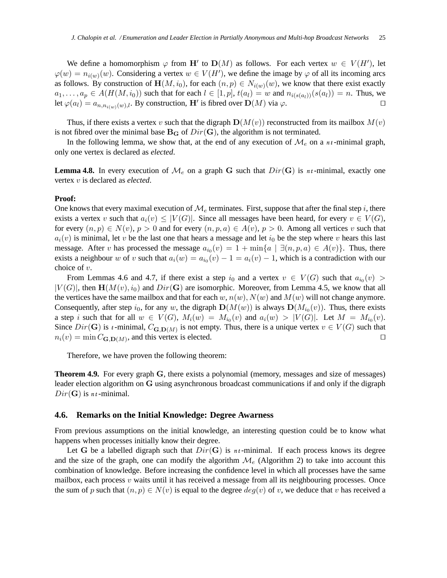We define a homomorphism  $\varphi$  from H' to  $\mathbf{D}(M)$  as follows. For each vertex  $w \in V(H')$ , let  $\varphi(w) = n_{i(w)}(w)$ . Considering a vertex  $w \in V(H')$ , we define the image by  $\varphi$  of all its incoming arcs as follows. By construction of  $\mathbf{H}(M, i_0)$ , for each  $(n, p) \in N_{i(w)}(w)$ , we know that there exist exactly  $a_1, \ldots, a_p \in A(H(M, i_0))$  such that for each  $l \in [1, p]$ ,  $t(a_l) = w$  and  $n_{i(s(a_l))}(s(a_l)) = n$ . Thus, we let  $\varphi(a_l) = a_{n,n_{i(w)}(w),l}$ . By construction, H' is fibred over  $\mathbf{D}(M)$  via  $\varphi$ .  $\Box$ 

Thus, if there exists a vertex v such that the digraph  $\mathbf{D}(M(v))$  reconstructed from its mailbox  $M(v)$ is not fibred over the minimal base  $B_G$  of  $Dir(G)$ , the algorithm is not terminated.

In the following lemma, we show that, at the end of any execution of  $\mathcal{M}_e$  on a  $n_t$ -minimal graph, only one vertex is declared as *elected*.

**Lemma 4.8.** In every execution of  $\mathcal{M}_e$  on a graph G such that  $Dir(G)$  is *nt*-minimal, exactly one vertex v is declared as *elected*.

#### **Proof:**

One knows that every maximal execution of  $\mathcal{M}_e$  terminates. First, suppose that after the final step i, there exists a vertex v such that  $a_i(v) \leq |V(G)|$ . Since all messages have been heard, for every  $v \in V(G)$ , for every  $(n, p) \in N(v)$ ,  $p > 0$  and for every  $(n, p, a) \in A(v)$ ,  $p > 0$ . Among all vertices v such that  $a_i(v)$  is minimal, let v be the last one that hears a message and let  $i_0$  be the step where v hears this last message. After v has processed the message  $a_{i_0}(v) = 1 + \min\{a \mid \exists (n, p, a) \in A(v)\}\.$  Thus, there exists a neighbour w of v such that  $a_i(w) = a_{i_0}(v) - 1 = a_i(v) - 1$ , which is a contradiction with our choice of  $v$ .

From Lemmas 4.6 and 4.7, if there exist a step  $i_0$  and a vertex  $v \in V(G)$  such that  $a_{i_0}(v)$  >  $|V(G)|$ , then  $\mathbf{H}(M(v), i_0)$  and  $Dir(\mathbf{G})$  are isomorphic. Moreover, from Lemma 4.5, we know that all the vertices have the same mailbox and that for each w,  $n(w)$ ,  $N(w)$  and  $M(w)$  will not change anymore. Consequently, after step  $i_0$ , for any w, the digraph  $\mathbf{D}(M(w))$  is always  $\mathbf{D}(M_{i_0}(v))$ . Thus, there exists a step *i* such that for all  $w \in V(G)$ ,  $M_i(w) = M_{i_0}(v)$  and  $a_i(w) > |V(G)|$ . Let  $M = M_{i_0}(v)$ . Since  $Dir(G)$  is *t*-minimal,  $C_{\mathbf{G},\mathbf{D}(M)}$  is not empty. Thus, there is a unique vertex  $v \in V(G)$  such that  $n_i(v) = \min C_{\mathbf{G},\mathbf{D}(M)}$ , and this vertex is elected. □

Therefore, we have proven the following theorem:

**Theorem 4.9.** For every graph G, there exists a polynomial (memory, messages and size of messages) leader election algorithm on G using asynchronous broadcast communications if and only if the digraph  $Dir(G)$  is *nt*-minimal.

#### **4.6. Remarks on the Initial Knowledge: Degree Awarness**

From previous assumptions on the initial knowledge, an interesting question could be to know what happens when processes initially know their degree.

Let G be a labelled digraph such that  $Dir(G)$  is  $n_t$ -minimal. If each process knows its degree and the size of the graph, one can modify the algorithm  $\mathcal{M}_e$  (Algorithm 2) to take into account this combination of knowledge. Before increasing the confidence level in which all processes have the same mailbox, each process  $v$  waits until it has received a message from all its neighbouring processes. Once the sum of p such that  $(n, p) \in N(v)$  is equal to the degree  $deg(v)$  of v, we deduce that v has received a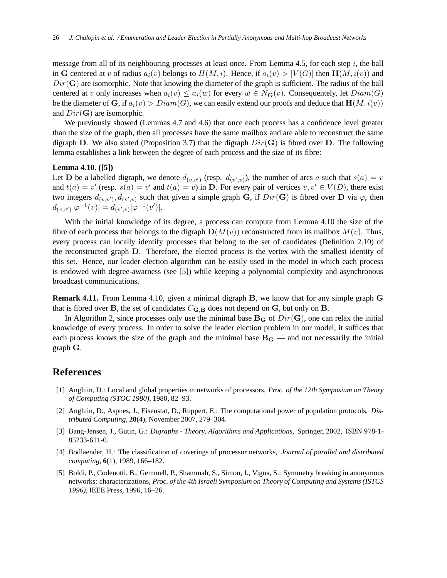message from all of its neighbouring processes at least once. From Lemma 4.5, for each step  $i$ , the ball in G centered at v of radius  $a_i(v)$  belongs to  $H(M, i)$ . Hence, if  $a_i(v) > |V(G)|$  then  $\mathbf{H}(M, i(v))$  and  $Dir(G)$  are isomorphic. Note that knowing the diameter of the graph is sufficient. The radius of the ball centered at v only increases when  $a_i(v) \le a_i(w)$  for every  $w \in N_G(v)$ . Consequentely, let  $Diam(G)$ be the diameter of G, if  $a_i(v) > Diam(G)$ , we can easily extend our proofs and deduce that  $\mathbf{H}(M, i(v))$ and  $Dir(G)$  are isomorphic.

We previously showed (Lemmas 4.7 and 4.6) that once each process has a confidence level greater than the size of the graph, then all processes have the same mailbox and are able to reconstruct the same digraph D. We also stated (Proposition 3.7) that the digraph  $Dir(G)$  is fibred over D. The following lemma establishes a link between the degree of each process and the size of its fibre:

#### **Lemma 4.10. ([5])**

Let **D** be a labelled digraph, we denote  $d_{(v,v')}$  (resp.  $d_{(v',v)}$ ), the number of arcs a such that  $s(a) = v$ and  $t(a) = v'$  (resp.  $s(a) = v'$  and  $t(a) = v$ ) in D. For every pair of vertices  $v, v' \in V(D)$ , there exist two integers  $d_{(v,v')}$ ,  $d_{(v',v)}$  such that given a simple graph G, if  $Dir(G)$  is fibred over D via  $\varphi$ , then  $d_{(v,v')}|\varphi^{-1}(v)| = d_{(v',v)}|\varphi^{-1}(v')|.$ 

With the initial knowledge of its degree, a process can compute from Lemma 4.10 the size of the fibre of each process that belongs to the digraph  $\mathbf{D}(M(v))$  reconstructed from its mailbox  $M(v)$ . Thus, every process can locally identify processes that belong to the set of candidates (Definition 2.10) of the reconstructed graph D. Therefore, the elected process is the vertex with the smallest identity of this set. Hence, our leader election algorithm can be easily used in the model in which each process is endowed with degree-awarness (see [5]) while keeping a polynomial complexity and asynchronous broadcast communications.

**Remark 4.11.** From Lemma 4.10, given a minimal digraph B, we know that for any simple graph G that is fibred over **B**, the set of candidates  $C_{\mathbf{G},\mathbf{B}}$  does not depend on **G**, but only on **B**.

In Algorithm 2, since processes only use the minimal base  $B_G$  of  $Dir(G)$ , one can relax the initial knowledge of every process. In order to solve the leader election problem in our model, it suffices that each process knows the size of the graph and the minimal base  $B<sub>G</sub>$  — and not necessarily the initial graph G.

## **References**

- [1] Angluin, D.: Local and global properties in networks of processors, *Proc. of the 12th Symposium on Theory of Computing (STOC 1980)*, 1980, 82–93.
- [2] Angluin, D., Aspnes, J., Eisenstat, D., Ruppert, E.: The computational power of population protocols, *Distributed Computing*, **20**(4), November 2007, 279–304.
- [3] Bang-Jensen, J., Gutin, G.: *Digraphs Theory, Algorithms and Applications*, Springer, 2002, ISBN 978-1- 85233-611-0.
- [4] Bodlaender, H.: The classification of coverings of processor networks, *Journal of parallel and distributed computing*, **6**(1), 1989, 166–182.
- [5] Boldi, P., Codenotti, B., Gemmell, P., Shammah, S., Simon, J., Vigna, S.: Symmetry breaking in anonymous networks: characterizations, *Proc. of the 4th Israeli Symposium on Theory of Computing and Systems (ISTCS 1996)*, IEEE Press, 1996, 16–26.